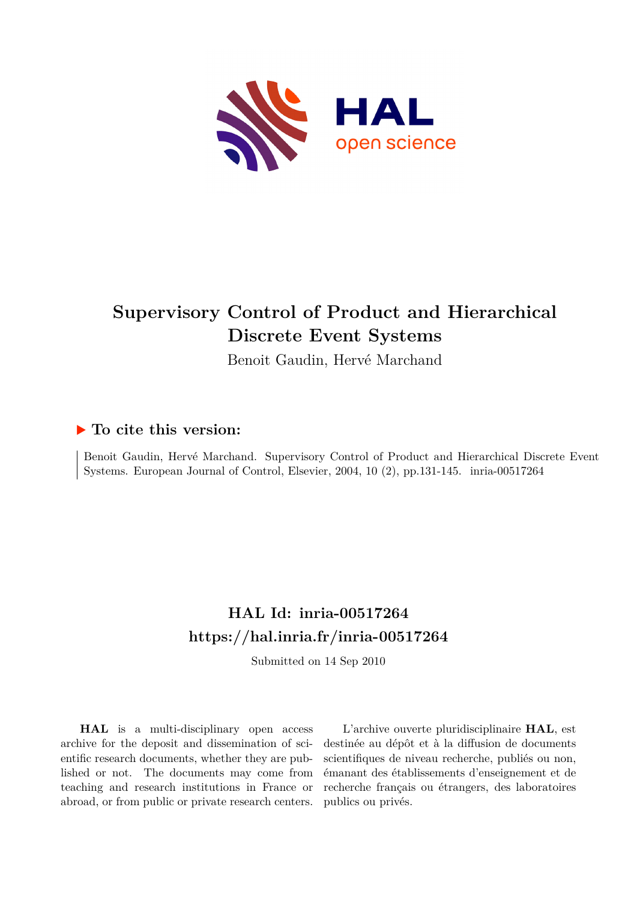

# **Supervisory Control of Product and Hierarchical Discrete Event Systems**

Benoit Gaudin, Hervé Marchand

## **To cite this version:**

Benoit Gaudin, Hervé Marchand. Supervisory Control of Product and Hierarchical Discrete Event Systems. European Journal of Control, Elsevier, 2004, 10 (2), pp.131-145. inria-00517264

## **HAL Id: inria-00517264 <https://hal.inria.fr/inria-00517264>**

Submitted on 14 Sep 2010

**HAL** is a multi-disciplinary open access archive for the deposit and dissemination of scientific research documents, whether they are published or not. The documents may come from teaching and research institutions in France or abroad, or from public or private research centers.

L'archive ouverte pluridisciplinaire **HAL**, est destinée au dépôt et à la diffusion de documents scientifiques de niveau recherche, publiés ou non, émanant des établissements d'enseignement et de recherche français ou étrangers, des laboratoires publics ou privés.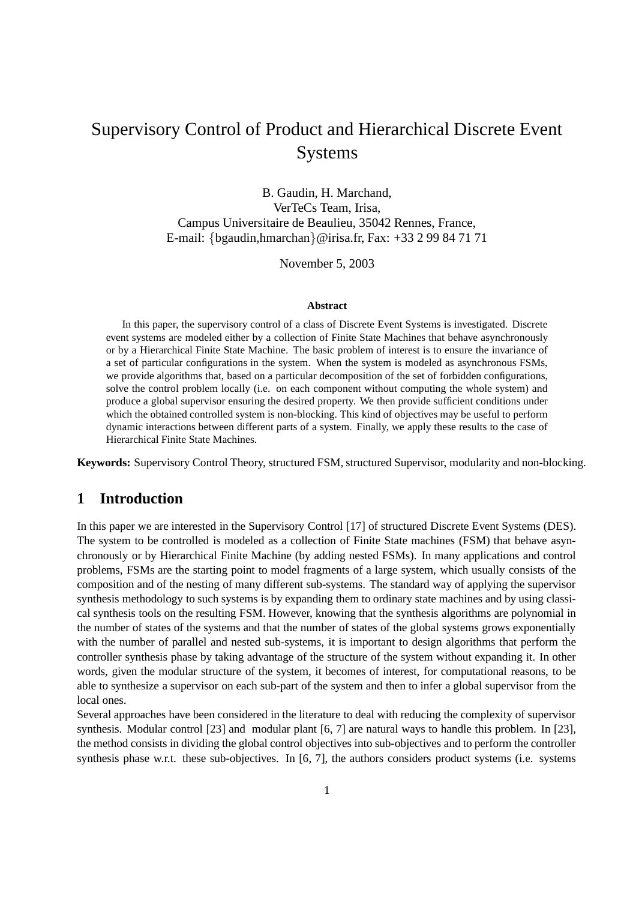## Supervisory Control of Product and Hierarchical Discrete Event Systems

B. Gaudin, H. Marchand, VerTeCs Team, Irisa, Campus Universitaire de Beaulieu, 35042 Rennes, France, E-mail: {bgaudin,hmarchan}@irisa.fr, Fax: +33 2 99 84 71 71

November 5, 2003

#### **Abstract**

In this paper, the supervisory control of a class of Discrete Event Systems is investigated. Discrete event systems are modeled either by a collection of Finite State Machines that behave asynchronously or by a Hierarchical Finite State Machine. The basic problem of interest is to ensure the invariance of a set of particular configurations in the system. When the system is modeled as asynchronous FSMs, we provide algorithms that, based on a particular decomposition of the set of forbidden configurations, solve the control problem locally (i.e. on each component without computing the whole system) and produce a global supervisor ensuring the desired property. We then provide sufficient conditions under which the obtained controlled system is non-blocking. This kind of objectives may be useful to perform dynamic interactions between different parts of a system. Finally, we apply these results to the case of Hierarchical Finite State Machines.

**Keywords:** Supervisory Control Theory, structured FSM, structured Supervisor, modularity and non-blocking.

## **1 Introduction**

In this paper we are interested in the Supervisory Control [17] of structured Discrete Event Systems (DES). The system to be controlled is modeled as a collection of Finite State machines (FSM) that behave asynchronously or by Hierarchical Finite Machine (by adding nested FSMs). In many applications and control problems, FSMs are the starting point to model fragments of a large system, which usually consists of the composition and of the nesting of many different sub-systems. The standard way of applying the supervisor synthesis methodology to such systems is by expanding them to ordinary state machines and by using classical synthesis tools on the resulting FSM. However, knowing that the synthesis algorithms are polynomial in the number of states of the systems and that the number of states of the global systems grows exponentially with the number of parallel and nested sub-systems, it is important to design algorithms that perform the controller synthesis phase by taking advantage of the structure of the system without expanding it. In other words, given the modular structure of the system, it becomes of interest, for computational reasons, to be able to synthesize a supervisor on each sub-part of the system and then to infer a global supervisor from the local ones.

Several approaches have been considered in the literature to deal with reducing the complexity of supervisor synthesis. Modular control [23] and modular plant [6, 7] are natural ways to handle this problem. In [23], the method consists in dividing the global control objectives into sub-objectives and to perform the controller synthesis phase w.r.t. these sub-objectives. In [6, 7], the authors considers product systems (i.e. systems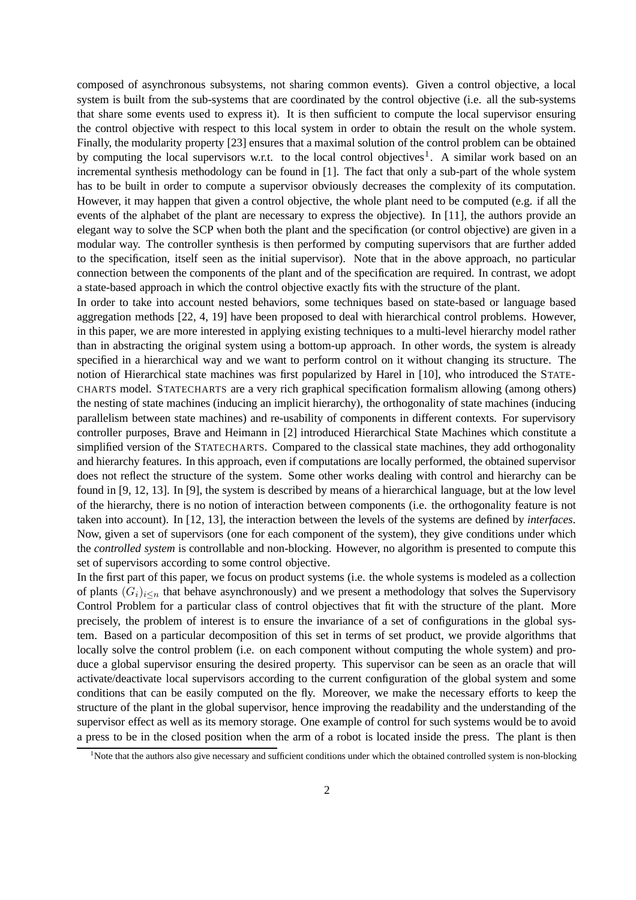composed of asynchronous subsystems, not sharing common events). Given a control objective, a local system is built from the sub-systems that are coordinated by the control objective (i.e. all the sub-systems that share some events used to express it). It is then sufficient to compute the local supervisor ensuring the control objective with respect to this local system in order to obtain the result on the whole system. Finally, the modularity property [23] ensures that a maximal solution of the control problem can be obtained by computing the local supervisors w.r.t. to the local control objectives<sup>1</sup>. A similar work based on an incremental synthesis methodology can be found in [1]. The fact that only a sub-part of the whole system has to be built in order to compute a supervisor obviously decreases the complexity of its computation. However, it may happen that given a control objective, the whole plant need to be computed (e.g. if all the events of the alphabet of the plant are necessary to express the objective). In [11], the authors provide an elegant way to solve the SCP when both the plant and the specification (or control objective) are given in a modular way. The controller synthesis is then performed by computing supervisors that are further added to the specification, itself seen as the initial supervisor). Note that in the above approach, no particular connection between the components of the plant and of the specification are required. In contrast, we adopt a state-based approach in which the control objective exactly fits with the structure of the plant.

In order to take into account nested behaviors, some techniques based on state-based or language based aggregation methods [22, 4, 19] have been proposed to deal with hierarchical control problems. However, in this paper, we are more interested in applying existing techniques to a multi-level hierarchy model rather than in abstracting the original system using a bottom-up approach. In other words, the system is already specified in a hierarchical way and we want to perform control on it without changing its structure. The notion of Hierarchical state machines was first popularized by Harel in [10], who introduced the STATE-CHARTS model. STATECHARTS are a very rich graphical specification formalism allowing (among others) the nesting of state machines (inducing an implicit hierarchy), the orthogonality of state machines (inducing parallelism between state machines) and re-usability of components in different contexts. For supervisory controller purposes, Brave and Heimann in [2] introduced Hierarchical State Machines which constitute a simplified version of the STATECHARTS. Compared to the classical state machines, they add orthogonality and hierarchy features. In this approach, even if computations are locally performed, the obtained supervisor does not reflect the structure of the system. Some other works dealing with control and hierarchy can be found in [9, 12, 13]. In [9], the system is described by means of a hierarchical language, but at the low level of the hierarchy, there is no notion of interaction between components (i.e. the orthogonality feature is not taken into account). In [12, 13], the interaction between the levels of the systems are defined by *interfaces*. Now, given a set of supervisors (one for each component of the system), they give conditions under which the *controlled system* is controllable and non-blocking. However, no algorithm is presented to compute this set of supervisors according to some control objective.

In the first part of this paper, we focus on product systems (i.e. the whole systems is modeled as a collection of plants  $(G_i)_{i\leq n}$  that behave asynchronously) and we present a methodology that solves the Supervisory Control Problem for a particular class of control objectives that fit with the structure of the plant. More precisely, the problem of interest is to ensure the invariance of a set of configurations in the global system. Based on a particular decomposition of this set in terms of set product, we provide algorithms that locally solve the control problem (i.e. on each component without computing the whole system) and produce a global supervisor ensuring the desired property. This supervisor can be seen as an oracle that will activate/deactivate local supervisors according to the current configuration of the global system and some conditions that can be easily computed on the fly. Moreover, we make the necessary efforts to keep the structure of the plant in the global supervisor, hence improving the readability and the understanding of the supervisor effect as well as its memory storage. One example of control for such systems would be to avoid a press to be in the closed position when the arm of a robot is located inside the press. The plant is then

<sup>&</sup>lt;sup>1</sup>Note that the authors also give necessary and sufficient conditions under which the obtained controlled system is non-blocking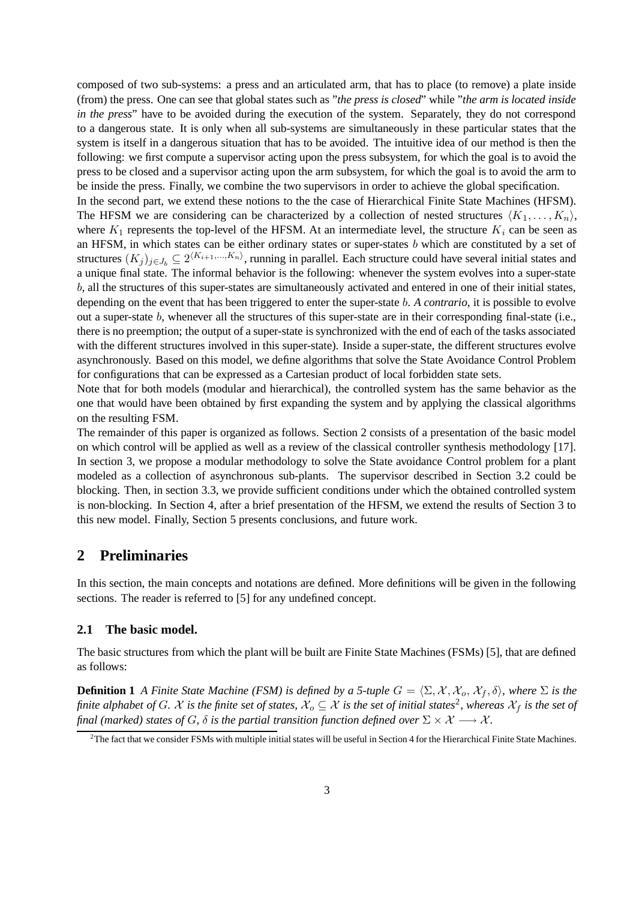composed of two sub-systems: a press and an articulated arm, that has to place (to remove) a plate inside (from) the press. One can see that global states such as "*the press is closed*" while "*the arm is located inside in the press*" have to be avoided during the execution of the system. Separately, they do not correspond to a dangerous state. It is only when all sub-systems are simultaneously in these particular states that the system is itself in a dangerous situation that has to be avoided. The intuitive idea of our method is then the following: we first compute a supervisor acting upon the press subsystem, for which the goal is to avoid the press to be closed and a supervisor acting upon the arm subsystem, for which the goal is to avoid the arm to be inside the press. Finally, we combine the two supervisors in order to achieve the global specification.

In the second part, we extend these notions to the the case of Hierarchical Finite State Machines (HFSM). The HFSM we are considering can be characterized by a collection of nested structures  $\langle K_1, \ldots, K_n \rangle$ , where  $K_1$  represents the top-level of the HFSM. At an intermediate level, the structure  $K_i$  can be seen as an HFSM, in which states can be either ordinary states or super-states b which are constituted by a set of structures  $(K_j)_{j \in J_b} \subseteq 2^{(K_{i+1},...,K_n)}$ , running in parallel. Each structure could have several initial states and a unique final state. The informal behavior is the following: whenever the system evolves into a super-state b, all the structures of this super-states are simultaneously activated and entered in one of their initial states, depending on the event that has been triggered to enter the super-state b. *A contrario*, it is possible to evolve out a super-state b, whenever all the structures of this super-state are in their corresponding final-state (i.e., there is no preemption; the output of a super-state is synchronized with the end of each of the tasks associated with the different structures involved in this super-state). Inside a super-state, the different structures evolve asynchronously. Based on this model, we define algorithms that solve the State Avoidance Control Problem for configurations that can be expressed as a Cartesian product of local forbidden state sets.

Note that for both models (modular and hierarchical), the controlled system has the same behavior as the one that would have been obtained by first expanding the system and by applying the classical algorithms on the resulting FSM.

The remainder of this paper is organized as follows. Section 2 consists of a presentation of the basic model on which control will be applied as well as a review of the classical controller synthesis methodology [17]. In section 3, we propose a modular methodology to solve the State avoidance Control problem for a plant modeled as a collection of asynchronous sub-plants. The supervisor described in Section 3.2 could be blocking. Then, in section 3.3, we provide sufficient conditions under which the obtained controlled system is non-blocking. In Section 4, after a brief presentation of the HFSM, we extend the results of Section 3 to this new model. Finally, Section 5 presents conclusions, and future work.

## **2 Preliminaries**

In this section, the main concepts and notations are defined. More definitions will be given in the following sections. The reader is referred to [5] for any undefined concept.

#### **2.1 The basic model.**

The basic structures from which the plant will be built are Finite State Machines (FSMs) [5], that are defined as follows:

**Definition 1** *A Finite State Machine* (*FSM*) *is defined by a 5-tuple*  $G = \langle \Sigma, \mathcal{X}, \mathcal{X}_o, \mathcal{X}_f, \delta \rangle$ , *where*  $\Sigma$  *is the* finite alphabet of G. X is the finite set of states,  $\mathcal{X}_o\subseteq\mathcal{X}$  is the set of initial states<sup>2</sup>, whereas  $\mathcal{X}_f$  is the set of *final* (marked) states of G,  $\delta$  is the partial transition function defined over  $\Sigma \times \mathcal{X} \longrightarrow \mathcal{X}$ .

 ${}^{2}$ The fact that we consider FSMs with multiple initial states will be useful in Section 4 for the Hierarchical Finite State Machines.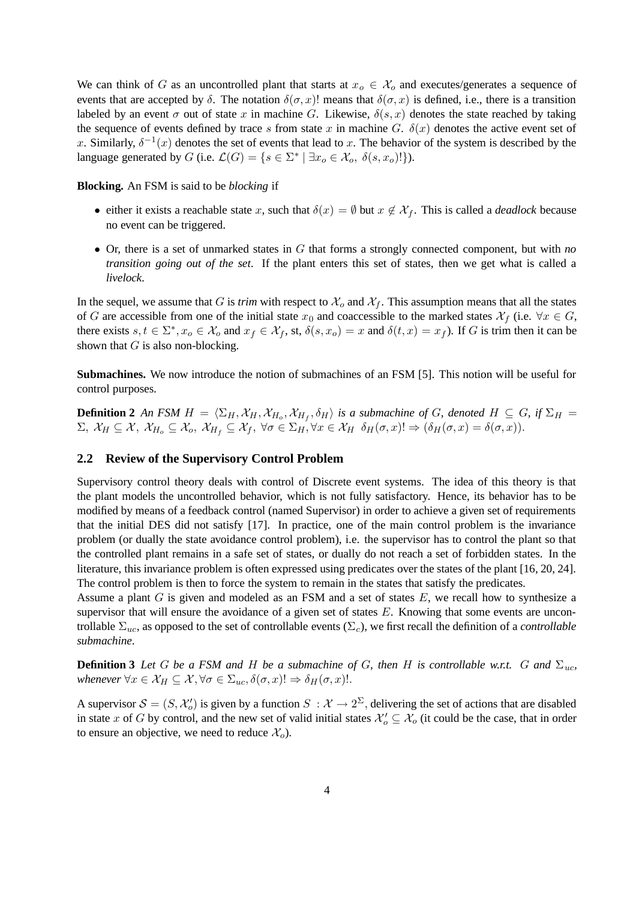We can think of G as an uncontrolled plant that starts at  $x_o \in \mathcal{X}_o$  and executes/generates a sequence of events that are accepted by  $\delta$ . The notation  $\delta(\sigma, x)$ ! means that  $\delta(\sigma, x)$  is defined, i.e., there is a transition labeled by an event  $\sigma$  out of state x in machine G. Likewise,  $\delta(s, x)$  denotes the state reached by taking the sequence of events defined by trace s from state x in machine G.  $\delta(x)$  denotes the active event set of x. Similarly,  $\delta^{-1}(x)$  denotes the set of events that lead to x. The behavior of the system is described by the language generated by G (i.e.  $\mathcal{L}(G) = \{ s \in \Sigma^* \mid \exists x_o \in \mathcal{X}_o, \delta(s, x_o)! \}.$ 

#### **Blocking.** An FSM is said to be *blocking* if

- either it exists a reachable state x, such that  $\delta(x) = \emptyset$  but  $x \notin \mathcal{X}_f$ . This is called a *deadlock* because no event can be triggered.
- Or, there is a set of unmarked states in G that forms a strongly connected component, but with *no transition going out of the set*. If the plant enters this set of states, then we get what is called a *livelock*.

In the sequel, we assume that G is *trim* with respect to  $\mathcal{X}_o$  and  $\mathcal{X}_f$ . This assumption means that all the states of G are accessible from one of the initial state  $x_0$  and coaccessible to the marked states  $\mathcal{X}_f$  (i.e.  $\forall x \in G$ , there exists  $s, t \in \Sigma^*$ ,  $x_o \in \mathcal{X}_o$  and  $x_f \in \mathcal{X}_f$ , st,  $\delta(s, x_o) = x$  and  $\delta(t, x) = x_f$ ). If G is trim then it can be shown that  $G$  is also non-blocking.

**Submachines.** We now introduce the notion of submachines of an FSM [5]. This notion will be useful for control purposes.

**Definition 2** An FSM  $H = \langle \Sigma_H, \mathcal{X}_H, \mathcal{X}_{H_o}, \mathcal{X}_{H_f}, \delta_H \rangle$  is a submachine of G, denoted  $H \subseteq G$ , if  $\Sigma_H =$  $\Sigma, \mathcal{X}_H \subseteq \mathcal{X}, \mathcal{X}_{H_o} \subseteq \mathcal{X}_o, \mathcal{X}_{H_f} \subseteq \mathcal{X}_f, \forall \sigma \in \Sigma_H, \forall x \in \mathcal{X}_H \ \delta_H(\sigma, x)! \Rightarrow (\delta_H(\sigma, x) = \delta(\sigma, x)).$ 

#### **2.2 Review of the Supervisory Control Problem**

Supervisory control theory deals with control of Discrete event systems. The idea of this theory is that the plant models the uncontrolled behavior, which is not fully satisfactory. Hence, its behavior has to be modified by means of a feedback control (named Supervisor) in order to achieve a given set of requirements that the initial DES did not satisfy [17]. In practice, one of the main control problem is the invariance problem (or dually the state avoidance control problem), i.e. the supervisor has to control the plant so that the controlled plant remains in a safe set of states, or dually do not reach a set of forbidden states. In the literature, this invariance problem is often expressed using predicates over the states of the plant [16, 20, 24]. The control problem is then to force the system to remain in the states that satisfy the predicates.

Assume a plant G is given and modeled as an FSM and a set of states E, we recall how to synthesize a supervisor that will ensure the avoidance of a given set of states  $E$ . Knowing that some events are uncontrollable  $\Sigma_{uc}$ , as opposed to the set of controllable events  $(\Sigma_c)$ , we first recall the definition of a *controllable submachine*.

**Definition** 3 Let G be a FSM and H be a submachine of G, then H is controllable w.r.t. G and  $\Sigma_{uc}$ , *whenever*  $\forall x \in \mathcal{X}_H \subseteq \mathcal{X}, \forall \sigma \in \Sigma_{uc}, \delta(\sigma, x)! \Rightarrow \delta_H(\sigma, x)!$ .

A supervisor  $S = (S, \mathcal{X}'_o)$  is given by a function  $S : \mathcal{X} \to 2^{\Sigma}$ , delivering the set of actions that are disabled in state x of G by control, and the new set of valid initial states  $\mathcal{X}'_o \subseteq \mathcal{X}_o$  (it could be the case, that in order to ensure an objective, we need to reduce  $\mathcal{X}_o$ ).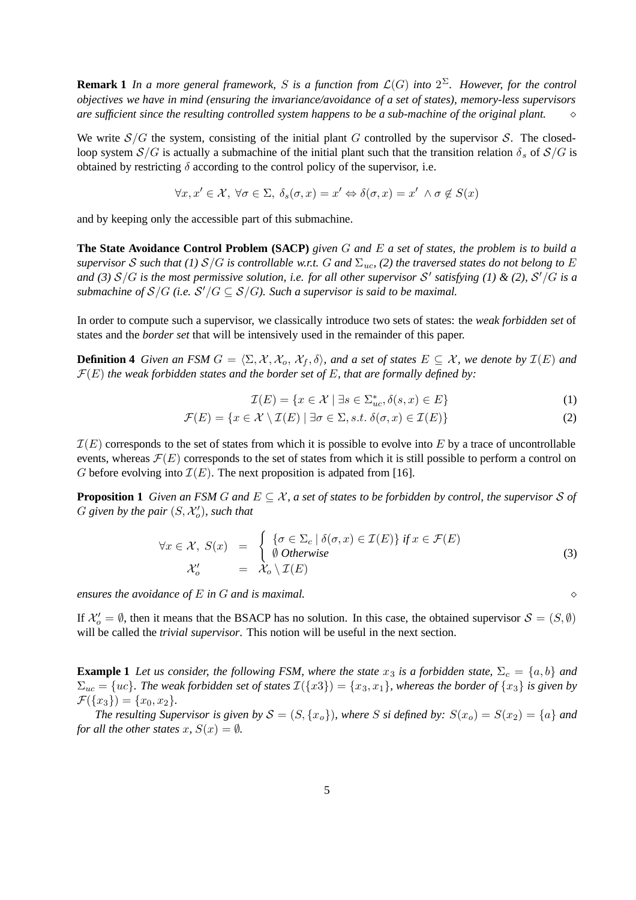**Remark 1** In a more general framework, S is a function from  $\mathcal{L}(G)$  into  $2^{\Sigma}$ . However, for the control *objectives we have in mind (ensuring the invariance/avoidance of a set of states), memory-less supervisors are sufficient since the resulting controlled system happens to be a sub-machine of the original plant.*

We write  $S/G$  the system, consisting of the initial plant G controlled by the supervisor S. The closedloop system  $S/G$  is actually a submachine of the initial plant such that the transition relation  $\delta_s$  of  $S/G$  is obtained by restricting  $\delta$  according to the control policy of the supervisor, i.e.

$$
\forall x, x' \in \mathcal{X}, \ \forall \sigma \in \Sigma, \ \delta_s(\sigma, x) = x' \Leftrightarrow \delta(\sigma, x) = x' \ \land \sigma \notin S(x)
$$

and by keeping only the accessible part of this submachine.

**The State Avoidance Control Problem (SACP)** given  $G$  and  $E$  a set of states, the problem is to build a supervisor S such that (1)  $S/G$  is controllable w.r.t. G and  $\Sigma_{uc}$ , (2) the traversed states do not belong to E and (3)  $S/G$  is the most permissive solution, i.e. for all other supervisor  $S'$  satisfying (1) & (2),  $S'/G$  is a *submachine of*  $S/G$  (*i.e.*  $S'/G \subseteq S/G$ *). Such a supervisor is said to be maximal.* 

In order to compute such a supervisor, we classically introduce two sets of states: the *weak forbidden set* of states and the *border set* that will be intensively used in the remainder of this paper.

**Definition 4** Given an FSM  $G = \langle \Sigma, \mathcal{X}, \mathcal{X}_0, \mathcal{X}_f, \delta \rangle$ , and a set of states  $E \subseteq \mathcal{X}$ , we denote by  $\mathcal{I}(E)$  and  $\mathcal{F}(E)$  *the* weak forbidden states and the border set of E, that are formally defined by:

$$
\mathcal{I}(E) = \{ x \in \mathcal{X} \mid \exists s \in \Sigma_{uc}^*, \delta(s, x) \in E \}
$$
\n<sup>(1)</sup>

$$
\mathcal{F}(E) = \{ x \in \mathcal{X} \setminus \mathcal{I}(E) \mid \exists \sigma \in \Sigma, s.t. \ \delta(\sigma, x) \in \mathcal{I}(E) \}
$$
\n
$$
(2)
$$

 $\mathcal{I}(E)$  corresponds to the set of states from which it is possible to evolve into E by a trace of uncontrollable events, whereas  $\mathcal{F}(E)$  corresponds to the set of states from which it is still possible to perform a control on G before evolving into  $\mathcal{I}(E)$ . The next proposition is adpated from [16].

**Proposition 1** Given an FSM G and  $E \subseteq \mathcal{X}$ , a set of states to be forbidden by control, the supervisor S of  $G$  given by the pair  $(S, \mathcal{X}'_o)$ , such that

$$
\forall x \in \mathcal{X}, S(x) = \begin{cases} \{\sigma \in \Sigma_c \mid \delta(\sigma, x) \in \mathcal{I}(E) \} \text{ if } x \in \mathcal{F}(E) \\ \emptyset \text{ Otherwise} \\ \mathcal{X}'_o = \mathcal{X}_o \setminus \mathcal{I}(E) \end{cases} \tag{3}
$$

*ensures the avoidance of* E *in* G *and is maximal.*

If  $\mathcal{X}'_o = \emptyset$ , then it means that the BSACP has no solution. In this case, the obtained supervisor  $\mathcal{S} = (S, \emptyset)$ will be called the *trivial supervisor*. This notion will be useful in the next section.

**Example 1** Let us consider, the following FSM, where the state  $x_3$  is a forbidden state,  $\Sigma_c = \{a, b\}$  and  $\Sigma_{uc} = \{uc\}$ . The weak forbidden set of states  $\mathcal{I}(\{x3\}) = \{x_3, x_1\}$ , whereas the border of  $\{x_3\}$  is given by  $\mathcal{F}(\{x_3\}) = \{x_0, x_2\}.$ 

*The resulting Supervisor is given by*  $S = (S, \{x_o\})$ *, where* S *si defined by:*  $S(x_o) = S(x_2) = \{a\}$  *and for all the other states*  $x$ *,*  $S(x) = \emptyset$ *.*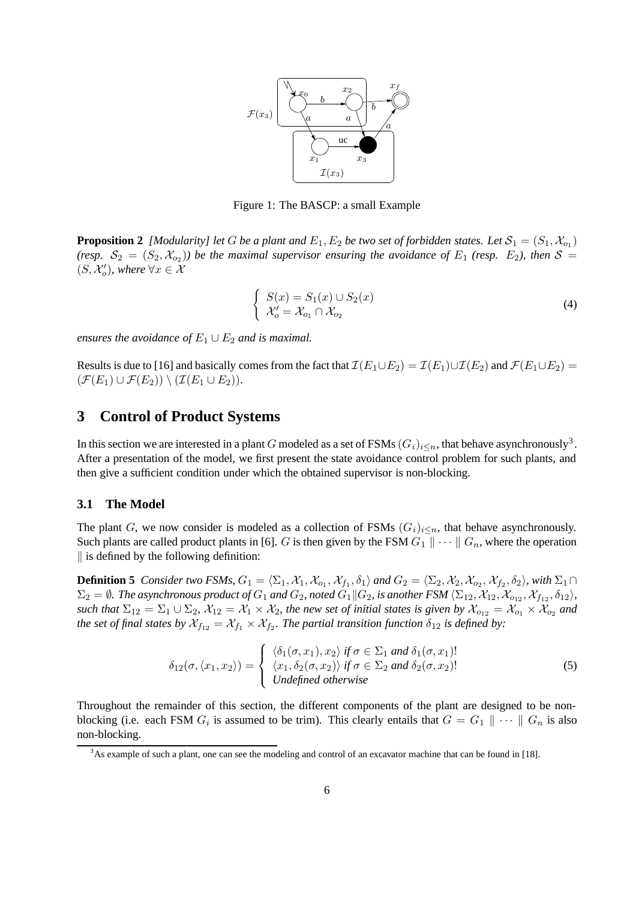

Figure 1: The BASCP: a small Example

**Proposition 2** [Modularity] let G be a plant and  $E_1, E_2$  be two set of forbidden states. Let  $\mathcal{S}_1 = (S_1, \mathcal{X}_{o_1})$ (resp.  $S_2 = (S_2, X_{o_2})$ ) be the maximal supervisor ensuring the avoidance of  $E_1$  (resp.  $E_2$ ), then  $S =$  $(S, \mathcal{X}'_o)$ , where  $\forall x \in \mathcal{X}$ 

$$
\begin{cases}\nS(x) = S_1(x) \cup S_2(x) \\
\mathcal{X}'_o = \mathcal{X}_{o_1} \cap \mathcal{X}_{o_2}\n\end{cases}
$$
\n(4)

*ensures the avoidance of*  $E_1 \cup E_2$  *and is maximal.* 

Results is due to [16] and basically comes from the fact that  $\mathcal{I}(E_1 \cup E_2) = \mathcal{I}(E_1) \cup \mathcal{I}(E_2)$  and  $\mathcal{F}(E_1 \cup E_2) =$  $(\mathcal{F}(E_1) \cup \mathcal{F}(E_2)) \setminus (\mathcal{I}(E_1 \cup E_2)).$ 

## **3 Control of Product Systems**

In this section we are interested in a plant G modeled as a set of FSMs  $(G_i)_{i\leq n}$ , that behave asynchronously<sup>3</sup>. After a presentation of the model, we first present the state avoidance control problem for such plants, and then give a sufficient condition under which the obtained supervisor is non-blocking.

#### **3.1 The Model**

The plant G, we now consider is modeled as a collection of FSMs  $(G_i)_{i\leq n}$ , that behave asynchronously. Such plants are called product plants in [6]. G is then given by the FSM  $G_1 \parallel \cdots \parallel G_n$ , where the operation  $\parallel$  is defined by the following definition:

**Definition 5** *Consider two FSMs,*  $G_1 = \langle \Sigma_1, \mathcal{X}_1, \mathcal{X}_{o_1}, \mathcal{X}_{f_1}, \delta_1 \rangle$  and  $G_2 = \langle \Sigma_2, \mathcal{X}_2, \mathcal{X}_{o_2}, \mathcal{X}_{f_2}, \delta_2 \rangle$ , with  $\Sigma_1 \cap$  $\Sigma_2 = \emptyset$ . The asynchronous product of  $G_1$  and  $G_2$ , noted  $G_1||G_2$ , is another FSM  $\langle \Sigma_{12}, X_{12}, X_{012}, X_{f_{12}}, \delta_{12} \rangle$ , *such that*  $\Sigma_{12} = \Sigma_1 \cup \Sigma_2$ ,  $\mathcal{X}_{12} = \mathcal{X}_1 \times \mathcal{X}_2$ , the new set of initial states is given by  $\mathcal{X}_{o_{12}} = \mathcal{X}_{o_1} \times \mathcal{X}_{o_2}$  and *the set of final states by*  $X_{f_{12}} = X_{f_1} \times X_{f_2}$ *. The partial transition function*  $\delta_{12}$  *is defined by:* 

$$
\delta_{12}(\sigma,\langle x_1,x_2\rangle) = \begin{cases}\n\langle \delta_1(\sigma,x_1), x_2 \rangle & \text{if } \sigma \in \Sigma_1 \text{ and } \delta_1(\sigma,x_1)! \\
\langle x_1, \delta_2(\sigma,x_2) \rangle & \text{if } \sigma \in \Sigma_2 \text{ and } \delta_2(\sigma,x_2)! \\
\text{Undefined otherwise}\n\end{cases} \tag{5}
$$

Throughout the remainder of this section, the different components of the plant are designed to be nonblocking (i.e. each FSM  $G_i$  is assumed to be trim). This clearly entails that  $G = G_1 \parallel \cdots \parallel G_n$  is also non-blocking.

<sup>&</sup>lt;sup>3</sup>As example of such a plant, one can see the modeling and control of an excavator machine that can be found in [18].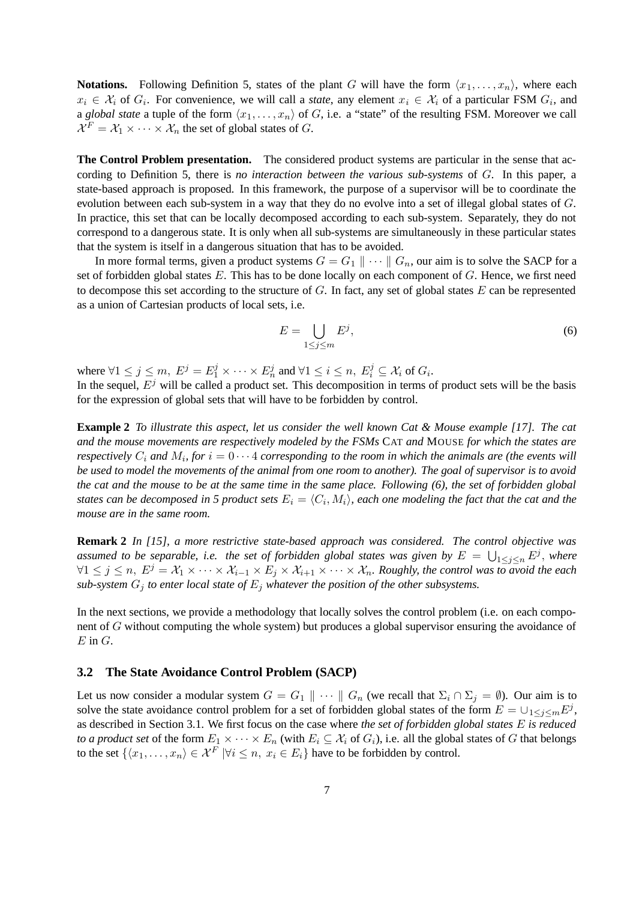**Notations.** Following Definition 5, states of the plant G will have the form  $\langle x_1, \ldots, x_n \rangle$ , where each  $x_i \in \mathcal{X}_i$  of  $G_i$ . For convenience, we will call a *state*, any element  $x_i \in \mathcal{X}_i$  of a particular FSM  $G_i$ , and a *global state* a tuple of the form  $\langle x_1, \ldots, x_n \rangle$  of G, i.e. a "state" of the resulting FSM. Moreover we call  $\mathcal{X}^F = \mathcal{X}_1 \times \cdots \times \mathcal{X}_n$  the set of global states of G.

**The Control Problem presentation.** The considered product systems are particular in the sense that according to Definition 5, there is *no interaction between the various sub-systems* of G. In this paper, a state-based approach is proposed. In this framework, the purpose of a supervisor will be to coordinate the evolution between each sub-system in a way that they do no evolve into a set of illegal global states of G. In practice, this set that can be locally decomposed according to each sub-system. Separately, they do not correspond to a dangerous state. It is only when all sub-systems are simultaneously in these particular states that the system is itself in a dangerous situation that has to be avoided.

In more formal terms, given a product systems  $G = G_1 || \cdots || G_n$ , our aim is to solve the SACP for a set of forbidden global states  $E$ . This has to be done locally on each component of  $G$ . Hence, we first need to decompose this set according to the structure of  $G$ . In fact, any set of global states  $E$  can be represented as a union of Cartesian products of local sets, i.e.

$$
E = \bigcup_{1 \le j \le m} E^j,\tag{6}
$$

where  $\forall 1 \leq j \leq m$ ,  $E^j = E_1^j \times \cdots \times E_n^j$  and  $\forall 1 \leq i \leq n$ ,  $E_i^j \subseteq \mathcal{X}_i$  of  $G_i$ .

In the sequel,  $E<sup>j</sup>$  will be called a product set. This decomposition in terms of product sets will be the basis for the expression of global sets that will have to be forbidden by control.

**Example 2** To illustrate this aspect, let us consider the well known Cat & Mouse example [17]. The cat *and the mouse movements are respectively modeled by the FSMs* CAT *and* MOUSE *for which the states are respectively*  $C_i$  *and*  $M_i$ , for  $i = 0 \cdots 4$  corresponding to the room in which the animals are (the events will be used to model the movements of the animal from one room to another). The goal of supervisor is to avoid the cat and the mouse to be at the same time in the same place. Following (6), the set of forbidden global states can be decomposed in 5 product sets  $E_i = \langle C_i, M_i \rangle$ , each one modeling the fact that the cat and the *mouse are in the same room.*

**Remark 2** *In [15], a more restrictive state-based approach was considered. The control objective was* assumed to be separable, i.e. the set of forbidden global states was given by  $E = \bigcup_{1 \leq j \leq n} E^j$ , where  $∀1 ≤ j ≤ n, E<sup>j</sup> = X<sub>1</sub> × ··· × X<sub>i-1</sub> × E<sub>j</sub> × X<sub>i+1</sub> × ··· × X<sub>n</sub>. Roughly, the control was to avoid the each$ *sub-system*  $G_j$  *to enter local state of*  $E_j$  *whatever the position of the other subsystems.* 

In the next sections, we provide a methodology that locally solves the control problem (i.e. on each component of G without computing the whole system) but produces a global supervisor ensuring the avoidance of  $E$  in  $G$ .

#### **3.2 The State Avoidance Control Problem (SACP)**

Let us now consider a modular system  $G = G_1 \parallel \cdots \parallel G_n$  (we recall that  $\Sigma_i \cap \Sigma_j = \emptyset$ ). Our aim is to solve the state avoidance control problem for a set of forbidden global states of the form  $E = \cup_{1 \le j \le m} E^j$ , as described in Section 3.1. We first focus on the case where *the set of forbidden global states* E *is reduced to a* product set of the form  $E_1 \times \cdots \times E_n$  (with  $E_i \subseteq \mathcal{X}_i$  of  $G_i$ ), i.e. all the global states of G that belongs to the set  $\{\langle x_1, \ldots, x_n \rangle \in \mathcal{X}^F \mid \forall i \leq n, x_i \in E_i\}$  have to be forbidden by control.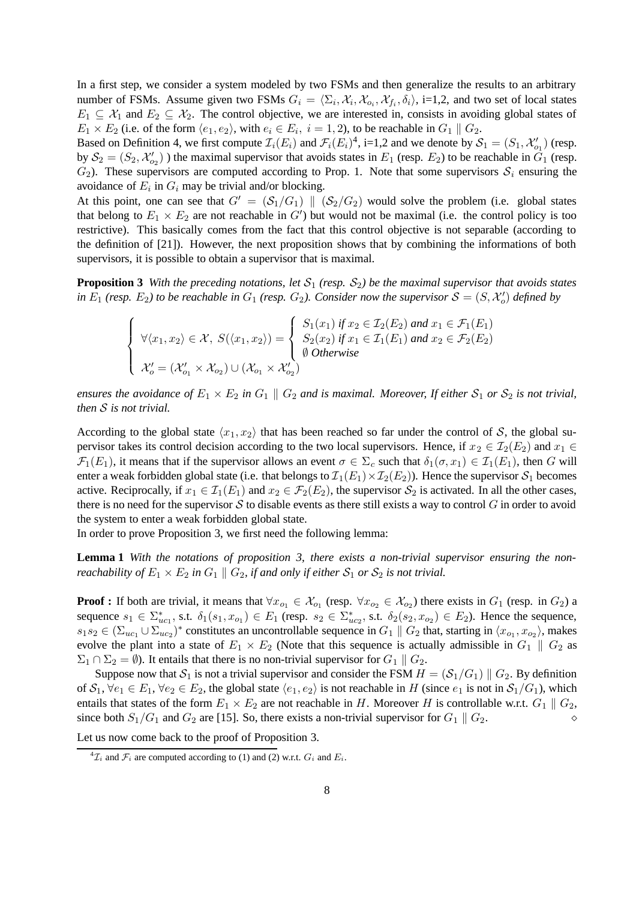In a first step, we consider a system modeled by two FSMs and then generalize the results to an arbitrary number of FSMs. Assume given two FSMs  $G_i = \langle \Sigma_i, \mathcal{X}_i, \mathcal{X}_{o_i}, \mathcal{X}_{f_i}, \delta_i \rangle$ , i=1,2, and two set of local states  $E_1 \subseteq \mathcal{X}_1$  and  $E_2 \subseteq \mathcal{X}_2$ . The control objective, we are interested in, consists in avoiding global states of  $E_1 \times E_2$  (i.e. of the form  $\langle e_1, e_2 \rangle$ , with  $e_i \in E_i$ ,  $i = 1, 2$ ), to be reachable in  $G_1 \parallel G_2$ .

Based on Definition 4, we first compute  $\mathcal{I}_i(E_i)$  and  $\mathcal{F}_i(E_i)^4$ , i=1,2 and we denote by  $\mathcal{S}_1 = (S_1, \mathcal{X}'_{o_1})$  (resp. by  $S_2 = (S_2, \mathcal{X}'_{o_2})$ ) the maximal supervisor that avoids states in  $E_1$  (resp.  $E_2$ ) to be reachable in  $G_1$  (resp.  $G_2$ ). These supervisors are computed according to Prop. 1. Note that some supervisors  $S_i$  ensuring the avoidance of  $E_i$  in  $G_i$  may be trivial and/or blocking.

At this point, one can see that  $G' = (S_1/G_1) || (S_2/G_2)$  would solve the problem (i.e. global states that belong to  $E_1 \times E_2$  are not reachable in  $G'$ ) but would not be maximal (i.e. the control policy is too restrictive). This basically comes from the fact that this control objective is not separable (according to the definition of [21]). However, the next proposition shows that by combining the informations of both supervisors, it is possible to obtain a supervisor that is maximal.

**Proposition 3** With the preceding notations, let  $S_1$  (resp.  $S_2$ ) be the maximal supervisor that avoids states *in*  $E_1$  *(resp.*  $E_2$ ) *to be reachable in*  $G_1$  *(resp.*  $G_2$ ). *Consider now the supervisor*  $S = (S, \mathcal{X}'_o)$  *defined by* 

$$
\begin{cases}\n\forall \langle x_1, x_2 \rangle \in \mathcal{X}, \ S(\langle x_1, x_2 \rangle) = \begin{cases}\nS_1(x_1) \text{ if } x_2 \in \mathcal{I}_2(E_2) \text{ and } x_1 \in \mathcal{F}_1(E_1) \\
S_2(x_2) \text{ if } x_1 \in \mathcal{I}_1(E_1) \text{ and } x_2 \in \mathcal{F}_2(E_2) \\
\emptyset \text{ Otherwise} \\
\mathcal{X}_o' = (\mathcal{X}_{o_1}' \times \mathcal{X}_{o_2}) \cup (\mathcal{X}_{o_1} \times \mathcal{X}_{o_2}')\n\end{cases}\n\end{cases}
$$

*ensures* the *avoidance* of  $E_1 \times E_2$  *in*  $G_1 \parallel G_2$  *and is maximal. Moreover,* If *either*  $S_1$  *or*  $S_2$  *is not trivial, then* S *is not trivial.*

According to the global state  $\langle x_1, x_2 \rangle$  that has been reached so far under the control of S, the global supervisor takes its control decision according to the two local supervisors. Hence, if  $x_2 \in \mathcal{I}_2(E_2)$  and  $x_1 \in$  $\mathcal{F}_1(E_1)$ , it means that if the supervisor allows an event  $\sigma \in \Sigma_c$  such that  $\delta_1(\sigma, x_1) \in \mathcal{I}_1(E_1)$ , then G will enter a weak forbidden global state (i.e. that belongs to  $\mathcal{I}_1(E_1) \times \mathcal{I}_2(E_2)$ ). Hence the supervisor  $\mathcal{S}_1$  becomes active. Reciprocally, if  $x_1 \in \mathcal{I}_1(E_1)$  and  $x_2 \in \mathcal{F}_2(E_2)$ , the supervisor  $\mathcal{S}_2$  is activated. In all the other cases, there is no need for the supervisor S to disable events as there still exists a way to control G in order to avoid the system to enter a weak forbidden global state.

In order to prove Proposition 3, we first need the following lemma:

**Lemma 1** *With the notations of proposition 3, there exists a non-trivial supervisor ensuring the nonreachability of*  $E_1 \times E_2$  *in*  $G_1 \parallel G_2$ *, if and only if either*  $S_1$  *or*  $S_2$  *is not trivial.* 

**Proof** : If both are trivial, it means that  $\forall x_{o_1} \in \mathcal{X}_{o_1}$  (resp.  $\forall x_{o_2} \in \mathcal{X}_{o_2}$ ) there exists in  $G_1$  (resp. in  $G_2$ ) a sequence  $s_1 \in \sum_{uc_1}^*$ , s.t.  $\delta_1(s_1, x_{o_1}) \in E_1$  (resp.  $s_2 \in \sum_{uc_2}^*$ , s.t.  $\delta_2(s_2, x_{o_2}) \in E_2$ ). Hence the sequence,  $s_1s_2 \in (\Sigma_{uc_1} \cup \Sigma_{uc_2})^*$  constitutes an uncontrollable sequence in  $G_1 \parallel G_2$  that, starting in  $\langle x_{o_1}, x_{o_2} \rangle$ , makes evolve the plant into a state of  $E_1 \times E_2$  (Note that this sequence is actually admissible in  $G_1 \parallel G_2$  as  $\Sigma_1 \cap \Sigma_2 = \emptyset$ ). It entails that there is no non-trivial supervisor for  $G_1 \parallel G_2$ .

Suppose now that  $S_1$  is not a trivial supervisor and consider the FSM  $H = (S_1/G_1) || G_2$ . By definition of  $S_1$ ,  $\forall e_1 \in E_1$ ,  $\forall e_2 \in E_2$ , the global state  $\langle e_1, e_2 \rangle$  is not reachable in H (since  $e_1$  is not in  $S_1/G_1$ ), which entails that states of the form  $E_1 \times E_2$  are not reachable in H. Moreover H is controllable w.r.t.  $G_1 \parallel G_2$ , since both  $S_1/G_1$  and  $G_2$  are [15]. So, there exists a non-trivial supervisor for  $G_1 \parallel G_2$ .

Let us now come back to the proof of Proposition 3.

<sup>&</sup>lt;sup>4</sup> $\mathcal{I}_i$  and  $\mathcal{F}_i$  are computed according to (1) and (2) w.r.t.  $G_i$  and  $E_i$ .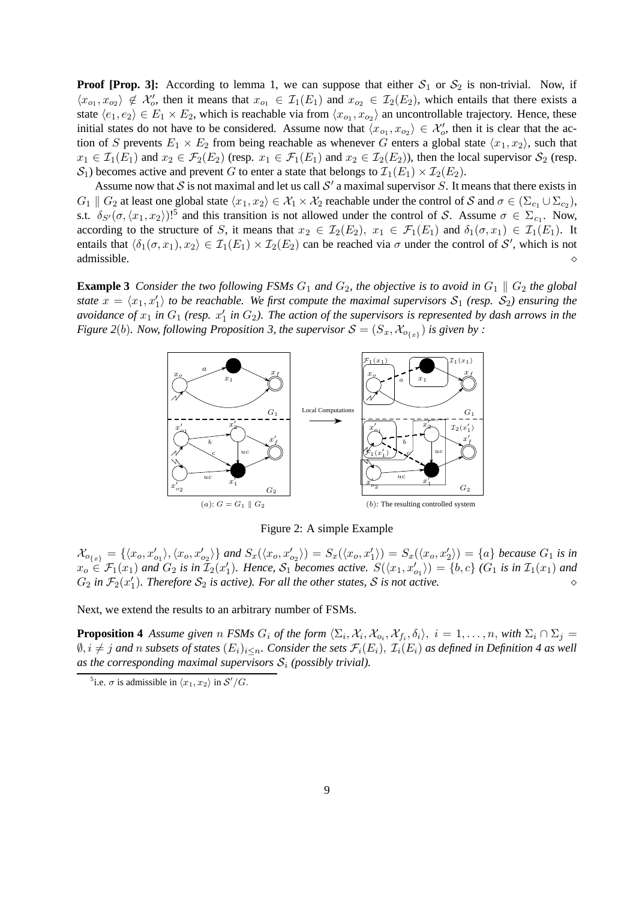**Proof [Prop. 3]:** According to lemma 1, we can suppose that either  $S_1$  or  $S_2$  is non-trivial. Now, if  $\langle x_{o_1}, x_{o_2} \rangle \notin \mathcal{X}'_o$ , then it means that  $x_{o_1} \in \mathcal{I}_1(E_1)$  and  $x_{o_2} \in \mathcal{I}_2(E_2)$ , which entails that there exists a state  $\langle e_1, e_2 \rangle \in E_1 \times E_2$ , which is reachable via from  $\langle x_{o_1}, x_{o_2} \rangle$  an uncontrollable trajectory. Hence, these initial states do not have to be considered. Assume now that  $\langle x_{o_1}, x_{o_2} \rangle \in \mathcal{X}'_o$ , then it is clear that the action of S prevents  $E_1 \times E_2$  from being reachable as whenever G enters a global state  $\langle x_1, x_2 \rangle$ , such that  $x_1 \in \mathcal{I}_1(E_1)$  and  $x_2 \in \mathcal{F}_2(E_2)$  (resp.  $x_1 \in \mathcal{F}_1(E_1)$  and  $x_2 \in \mathcal{I}_2(E_2)$ ), then the local supervisor  $\mathcal{S}_2$  (resp.  $S_1$ ) becomes active and prevent G to enter a state that belongs to  $\mathcal{I}_1(E_1) \times \mathcal{I}_2(E_2)$ .

Assume now that S is not maximal and let us call S' a maximal supervisor S. It means that there exists in  $G_1 \parallel G_2$  at least one global state  $\langle x_1, x_2 \rangle \in \mathcal{X}_1 \times \mathcal{X}_2$  reachable under the control of S and  $\sigma \in (\Sigma_{c_1} \cup \Sigma_{c_2}),$ s.t.  $\delta_{S'}(\sigma,\langle x_1, x_2 \rangle)!^5$  and this transition is not allowed under the control of S. Assume  $\sigma \in \Sigma_{c_1}$ . Now, according to the structure of S, it means that  $x_2 \in \mathcal{I}_2(E_2)$ ,  $x_1 \in \mathcal{F}_1(E_1)$  and  $\delta_1(\sigma, x_1) \in \mathcal{I}_1(E_1)$ . It entails that  $\langle \delta_1(\sigma, x_1), x_2 \rangle \in \mathcal{I}_1(E_1) \times \mathcal{I}_2(E_2)$  can be reached via  $\sigma$  under the control of S', which is not admissible.

**Example 3** Consider the two following FSMs  $G_1$  and  $G_2$ , the objective is to avoid in  $G_1 \parallel G_2$  the global state  $x = \langle x_1, x_1' \rangle$  to be reachable. We first compute the maximal supervisors  $S_1$  (resp.  $S_2$ ) ensuring the avoidance of  $x_1$  in  $G_1$  (resp.  $x'_1$  in  $G_2$ ). The action of the supervisors is represented by dash arrows in the *Figure* 2(b). *Now, following Proposition 3, the supervisor*  $S = (S_x, X_{o_{\{x\}}} )$  *is given by :* 



Figure 2: A simple Example

 $\mathcal{X}_{o_{\{x\}}} = \{ \langle x_o, x'_{o_1} \rangle, \langle x_o, x'_{o_2} \rangle \}$  and  $S_x(\langle x_o, x'_{o_2} \rangle) = S_x(\langle x_o, x'_1 \rangle) = S_x(\langle x_o, x'_2 \rangle) = \{a\}$  because  $G_1$  is in  $x_o \in \mathcal{F}_1(x_1)$  and  $G_2$  is in  $\overline{I}_2(x_1')$ . Hence,  $\mathcal{S}_1$  becomes active.  $S(\langle x_1, x_{o_1}' \rangle) = \{b, c\}$  ( $G_1$  is in  $\mathcal{I}_1(x_1)$  and  $G_2$  *in*  $\mathcal{F}_2(x_1')$ . Therefore  $\mathcal{S}_2$  *is active*). For all the other states, S is not active.

Next, we extend the results to an arbitrary number of FSMs.

**Proposition 4** Assume given n FSMs  $G_i$  of the form  $\langle \Sigma_i, \mathcal{X}_i, \mathcal{X}_{o_i}, \mathcal{X}_{f_i}, \delta_i \rangle$ ,  $i = 1, \ldots, n$ , with  $\Sigma_i \cap \Sigma_j =$  $\emptyset$ ,  $i \neq j$  and n subsets of states  $(E_i)_{i\leq n}$ . Consider the sets  $\mathcal{F}_i(E_i)$ ,  $\mathcal{I}_i(E_i)$  as defined in Definition 4 as well as the corresponding maximal supervisors  $S_i$  (possibly *trivial*).

<sup>&</sup>lt;sup>5</sup>i.e.  $\sigma$  is admissible in  $\langle x_1, x_2 \rangle$  in  $\mathcal{S}'/G$ .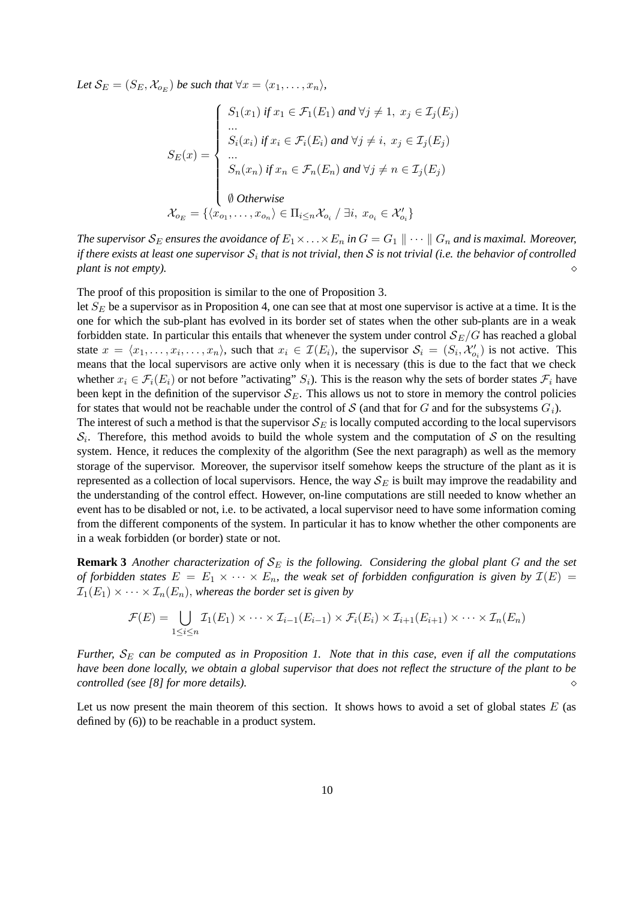Let  $\mathcal{S}_E = (S_E, \mathcal{X}_{o_E})$  be such that  $\forall x = \langle x_1, \ldots, x_n \rangle$ ,

$$
S_E(x) = \begin{cases} S_1(x_1) & \text{if } x_1 \in \mathcal{F}_1(E_1) \text{ and } \forall j \neq 1, \ x_j \in \mathcal{I}_j(E_j) \\ \dots \\ S_i(x_i) & \text{if } x_i \in \mathcal{F}_i(E_i) \text{ and } \forall j \neq i, \ x_j \in \mathcal{I}_j(E_j) \\ \dots \\ S_n(x_n) & \text{if } x_n \in \mathcal{F}_n(E_n) \text{ and } \forall j \neq n \in \mathcal{I}_j(E_j) \\ \emptyset & \text{Otherwise} \\ \emptyset & \text{otherwise} \end{cases}
$$

$$
\mathcal{X}_{o_E} = \{ \langle x_{o_1}, \dots, x_{o_n} \rangle \in \Pi_{i \leq n} \mathcal{X}_{o_i} \mid \exists i, \ x_{o_i} \in \mathcal{X}'_{o_i} \}
$$

*The supervisor*  $S_E$  *ensures the avoidance of*  $E_1 \times \ldots \times E_n$  *in*  $G = G_1 \parallel \cdots \parallel G_n$  *and is maximal. Moreover,* if there exists at least one supervisor  $\mathcal{S}_i$  that is not trivial, then  $\mathcal S$  is not trivial (i.e. the behavior of controlled *plant is not empty*).

The proof of this proposition is similar to the one of Proposition 3.

let  $S_E$  be a supervisor as in Proposition 4, one can see that at most one supervisor is active at a time. It is the one for which the sub-plant has evolved in its border set of states when the other sub-plants are in a weak forbidden state. In particular this entails that whenever the system under control  $\mathcal{S}_E/G$  has reached a global state  $x = \langle x_1, \ldots, x_i, \ldots, x_n \rangle$ , such that  $x_i \in \mathcal{I}(E_i)$ , the supervisor  $\mathcal{S}_i = (S_i, \mathcal{X}'_{o_i})$  is not active. This means that the local supervisors are active only when it is necessary (this is due to the fact that we check whether  $x_i \in \mathcal{F}_i(E_i)$  or not before "activating"  $S_i$ ). This is the reason why the sets of border states  $\mathcal{F}_i$  have been kept in the definition of the supervisor  $S_E$ . This allows us not to store in memory the control policies for states that would not be reachable under the control of S (and that for G and for the subsystems  $G_i$ ).

The interest of such a method is that the supervisor  $S_E$  is locally computed according to the local supervisors  $S_i$ . Therefore, this method avoids to build the whole system and the computation of S on the resulting system. Hence, it reduces the complexity of the algorithm (See the next paragraph) as well as the memory storage of the supervisor. Moreover, the supervisor itself somehow keeps the structure of the plant as it is represented as a collection of local supervisors. Hence, the way  $S_E$  is built may improve the readability and the understanding of the control effect. However, on-line computations are still needed to know whether an event has to be disabled or not, i.e. to be activated, a local supervisor need to have some information coming from the different components of the system. In particular it has to know whether the other components are in a weak forbidden (or border) state or not.

**Remark 3** Another characterization of  $S_E$  is the following. Considering the global plant G and the set *of forbidden states*  $E = E_1 \times \cdots \times E_n$ , *the weak set of forbidden configuration is given by*  $\mathcal{I}(E)$  =  $\mathcal{I}_1(E_1) \times \cdots \times \mathcal{I}_n(E_n)$ , whereas the border set is given by

$$
\mathcal{F}(E) = \bigcup_{1 \leq i \leq n} \mathcal{I}_1(E_1) \times \cdots \times \mathcal{I}_{i-1}(E_{i-1}) \times \mathcal{F}_i(E_i) \times \mathcal{I}_{i+1}(E_{i+1}) \times \cdots \times \mathcal{I}_n(E_n)
$$

Further,  $S_E$  can be computed as in Proposition 1. Note that in this case, even if all the computations have been done locally, we obtain a global supervisor that does not reflect the structure of the plant to be *controlled (see [8] for more details).*

Let us now present the main theorem of this section. It shows hows to avoid a set of global states  $E$  (as defined by (6)) to be reachable in a product system.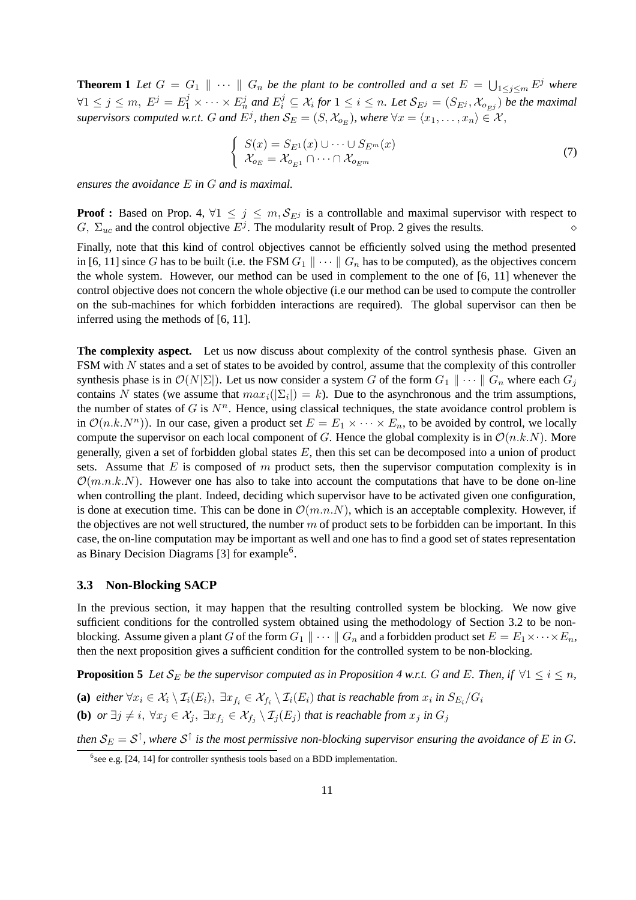**Theorem 1** Let  $G = G_1 \parallel \cdots \parallel G_n$  be the plant to be controlled and a set  $E = \bigcup_{1 \leq j \leq m} E^j$  where  $\forall 1 \leq j \leq m, \ E^j = E_1^j \times \cdots \times E_n^j$  and  $E_i^j \subseteq \mathcal{X}_i$  for  $1 \leq i \leq n$ . Let  $\mathcal{S}_{E^j} = (S_{E^j}, \mathcal{X}_{o_{E^j}})$  be the maximal *supervisors computed w.r.t.* G and  $E^j$ , then  $\mathcal{S}_E = (S, \mathcal{X}_{o_E})$ , where  $\forall x = \langle x_1, \ldots, x_n \rangle \in \mathcal{X}$ ,

$$
\begin{cases}\nS(x) = S_{E^1}(x) \cup \dots \cup S_{E^m}(x) \\
\mathcal{X}_{o_E} = \mathcal{X}_{o_{E^1}} \cap \dots \cap \mathcal{X}_{o_{E^m}}\n\end{cases} (7)
$$

*ensures the avoidance* E *in* G *and is maximal.*

**Proof :** Based on Prop. 4,  $\forall 1 \leq j \leq m$ ,  $S_{E^j}$  is a controllable and maximal supervisor with respect to G,  $\Sigma_{uc}$  and the control objective  $E^j$ . The modularity result of Prop. 2 gives the results.

Finally, note that this kind of control objectives cannot be efficiently solved using the method presented in [6, 11] since G has to be built (i.e. the FSM  $G_1 \parallel \cdots \parallel G_n$  has to be computed), as the objectives concern the whole system. However, our method can be used in complement to the one of [6, 11] whenever the control objective does not concern the whole objective (i.e our method can be used to compute the controller on the sub-machines for which forbidden interactions are required). The global supervisor can then be inferred using the methods of [6, 11].

**The complexity aspect.** Let us now discuss about complexity of the control synthesis phase. Given an FSM with N states and a set of states to be avoided by control, assume that the complexity of this controller synthesis phase is in  $\mathcal{O}(N|\Sigma|)$ . Let us now consider a system G of the form  $G_1 \parallel \cdots \parallel G_n$  where each  $G_i$ contains N states (we assume that  $max_i(|\Sigma_i|) = k$ ). Due to the asynchronous and the trim assumptions, the number of states of  $G$  is  $N<sup>n</sup>$ . Hence, using classical techniques, the state avoidance control problem is in  $\mathcal{O}(n.k.N^n)$ ). In our case, given a product set  $E = E_1 \times \cdots \times E_n$ , to be avoided by control, we locally compute the supervisor on each local component of G. Hence the global complexity is in  $\mathcal{O}(n.k.N)$ . More generally, given a set of forbidden global states  $E$ , then this set can be decomposed into a union of product sets. Assume that  $E$  is composed of  $m$  product sets, then the supervisor computation complexity is in  $\mathcal{O}(m.n.k.N)$ . However one has also to take into account the computations that have to be done on-line when controlling the plant. Indeed, deciding which supervisor have to be activated given one configuration, is done at execution time. This can be done in  $\mathcal{O}(m.n.N)$ , which is an acceptable complexity. However, if the objectives are not well structured, the number m of product sets to be forbidden can be important. In this case, the on-line computation may be important as well and one has to find a good set of states representation as Binary Decision Diagrams [3] for example<sup>6</sup>.

#### **3.3 Non-Blocking SACP**

In the previous section, it may happen that the resulting controlled system be blocking. We now give sufficient conditions for the controlled system obtained using the methodology of Section 3.2 to be nonblocking. Assume given a plant G of the form  $G_1 \parallel \cdots \parallel G_n$  and a forbidden product set  $E = E_1 \times \cdots \times E_n$ , then the next proposition gives a sufficient condition for the controlled system to be non-blocking.

**Proposition** 5 Let  $S_E$  be the supervisor computed as in Proposition 4 w.r.t. G and E. Then, if  $\forall 1 \leq i \leq n$ , (a)  $e$ ither  $\forall x_i \in \mathcal{X}_i \setminus \mathcal{I}_i(E_i), \ \exists x_{f_i} \in \mathcal{X}_{f_i} \setminus \mathcal{I}_i(E_i)$  that is reachable from  $x_i$  in  $S_{E_i}/G_i$ 

 $f(\mathbf{b})$  *or*  $\exists j\neq i, \ \forall x_j\in \mathcal{X}_j, \ \exists x_{f_j}\in \mathcal{X}_{f_j}\setminus \mathcal{I}_j(E_j)$  that is reachable from  $x_j$  in  $G_j$ 

then  $S_E = S^{\uparrow}$ , where  $S^{\uparrow}$  is the most permissive non-blocking supervisor ensuring the avoidance of E in G.

 $6$ see e.g. [24, 14] for controller synthesis tools based on a BDD implementation.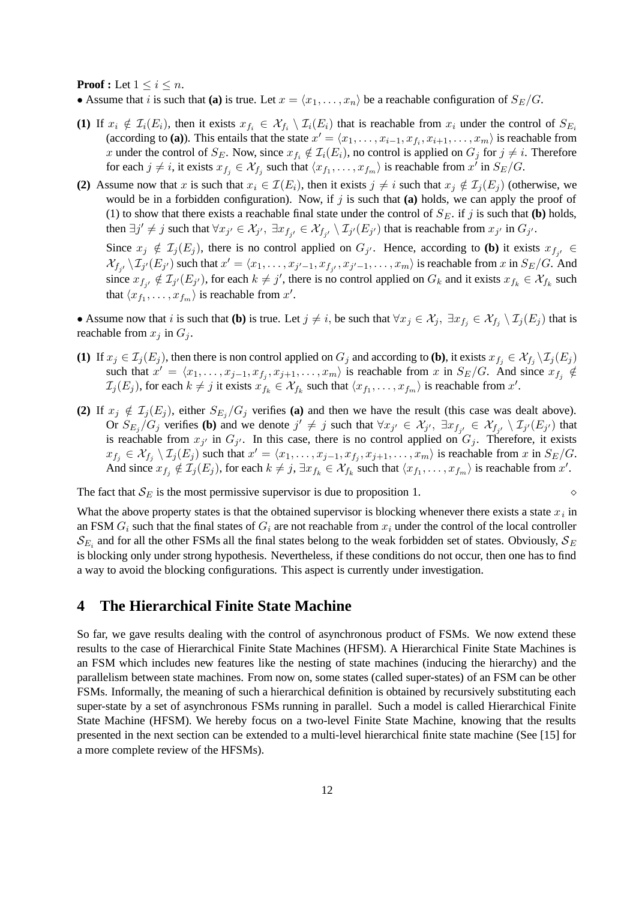#### **Proof** : Let  $1 \leq i \leq n$ .

• Assume that *i* is such that **(a)** is true. Let  $x = \langle x_1, \ldots, x_n \rangle$  be a reachable configuration of  $S_E/G$ .

- (1) If  $x_i \notin \mathcal{I}_i(E_i)$ , then it exists  $x_{f_i} \in \mathcal{X}_{f_i} \setminus \mathcal{I}_i(E_i)$  that is reachable from  $x_i$  under the control of  $S_{E_i}$ (according to (a)). This entails that the state  $x' = \langle x_1, \ldots, x_{i-1}, x_{f_i}, x_{i+1}, \ldots, x_m \rangle$  is reachable from x under the control of  $S_E$ . Now, since  $x_{f_i} \notin \mathcal{I}_i(E_i)$ , no control is applied on  $G_j$  for  $j \neq i$ . Therefore for each  $j \neq i$ , it exists  $x_{f_j} \in \mathcal{X}_{f_j}$  such that  $\langle x_{f_1}, \ldots, x_{f_m} \rangle$  is reachable from  $x^i$  in  $S_E/G$ .
- **(2)** Assume now that x is such that  $x_i \in \mathcal{I}(E_i)$ , then it exists  $j \neq i$  such that  $x_j \notin \mathcal{I}_i(E_j)$  (otherwise, we would be in a forbidden configuration). Now, if  $j$  is such that (a) holds, we can apply the proof of (1) to show that there exists a reachable final state under the control of  $S_E$ . if j is such that **(b)** holds, then  $\exists j' \neq j$  such that  $\forall x_{j'} \in \mathcal{X}_{j'}$ ,  $\exists x_{f_{j'}} \in \mathcal{X}_{f_{j'}} \setminus \mathcal{I}_{j'}(E_{j'})$  that is reachable from  $x_{j'}$  in  $G_{j'}$ .

Since  $x_j \notin \mathcal{I}_j(E_j)$ , there is no control applied on  $G_{j'}$ . Hence, according to **(b)** it exists  $x_{f_{j'}} \in$  $\mathcal{X}_{f_{j'}}\setminus \mathcal{I}_{j'}(E_{j'})$  such that  $x'=\langle x_1,\ldots,x_{j'-1},x_{f_{j'}},x_{j'-1},\ldots,x_m\rangle$  is reachable from  $x$  in  $S_E/G$ . And since  $x_{f_{j'}} \notin \mathcal{I}_{j'}(E_{j'})$ , for each  $k \neq j'$ , there is no control applied on  $G_k$  and it exists  $x_{f_k} \in \mathcal{X}_{f_k}$  such that  $\langle x_{f_1}, \ldots, x_{f_m} \rangle$  is reachable from  $x'$ .

• Assume now that *i* is such that **(b)** is true. Let  $j \neq i$ , be such that  $\forall x_j \in \mathcal{X}_j$ ,  $\exists x_{f_j} \in \mathcal{X}_{f_j} \setminus \mathcal{I}_j(E_j)$  that is reachable from  $x_i$  in  $G_i$ .

- **(1)** If  $x_j \in \mathcal{I}_j(E_j)$ , then there is non control applied on  $G_j$  and according to **(b)**, it exists  $x_{f_j} \in \mathcal{X}_{f_j} \setminus \mathcal{I}_j(E_j)$ such that  $x' = \langle x_1, \ldots, x_{j-1}, x_{f_j}, x_{j+1}, \ldots, x_m \rangle$  is reachable from x in  $S_E/G$ . And since  $x_{f_j} \notin$  $\mathcal{I}_j(E_j)$ , for each  $k \neq j$  it exists  $x_{f_k} \in \mathcal{X}_{f_k}$  such that  $\langle x_{f_1}, \ldots, x_{f_m} \rangle$  is reachable from  $x'$ .
- **(2)** If  $x_j \notin \mathcal{I}_j(E_j)$ , either  $S_{E_j}/G_j$  verifies **(a)** and then we have the result (this case was dealt above). Or  $S_{E_j}/G_j$  verifies (b) and we denote  $j' \neq j$  such that  $\forall x_{j'} \in \mathcal{X}_{j'}$ ,  $\exists x_{f_{j'}} \in \mathcal{X}_{f_{j'}} \setminus \mathcal{I}_{j'}(E_{j'})$  that is reachable from  $x_{j'}$  in  $G_{j'}$ . In this case, there is no control applied on  $G_j$ . Therefore, it exists  $x_{f_j} \in \mathcal{X}_{f_j} \setminus \mathcal{I}_j(E_j)$  such that  $x' = \langle x_1, \ldots, x_{j-1}, x_{f_j}, x_{j+1}, \ldots, x_m \rangle$  is reachable from x in  $S_E/G$ . And since  $x_{f_j} \notin \mathcal{I}_j(E_j)$ , for each  $k \neq j$ ,  $\exists x_{f_k} \in \mathcal{X}_{f_k}$  such that  $\langle x_{f_1}, \ldots, x_{f_m} \rangle$  is reachable from  $x'$ .

The fact that  $S_E$  is the most permissive supervisor is due to proposition 1.

What the above property states is that the obtained supervisor is blocking whenever there exists a state  $x_i$  in an FSM  $G_i$  such that the final states of  $G_i$  are not reachable from  $x_i$  under the control of the local controller  $\mathcal{S}_{E_i}$  and for all the other FSMs all the final states belong to the weak forbidden set of states. Obviously,  $\mathcal{S}_E$ is blocking only under strong hypothesis. Nevertheless, if these conditions do not occur, then one has to find a way to avoid the blocking configurations. This aspect is currently under investigation.

## **4 The Hierarchical Finite State Machine**

So far, we gave results dealing with the control of asynchronous product of FSMs. We now extend these results to the case of Hierarchical Finite State Machines (HFSM). A Hierarchical Finite State Machines is an FSM which includes new features like the nesting of state machines (inducing the hierarchy) and the parallelism between state machines. From now on, some states (called super-states) of an FSM can be other FSMs. Informally, the meaning of such a hierarchical definition is obtained by recursively substituting each super-state by a set of asynchronous FSMs running in parallel. Such a model is called Hierarchical Finite State Machine (HFSM). We hereby focus on a two-level Finite State Machine, knowing that the results presented in the next section can be extended to a multi-level hierarchical finite state machine (See [15] for a more complete review of the HFSMs).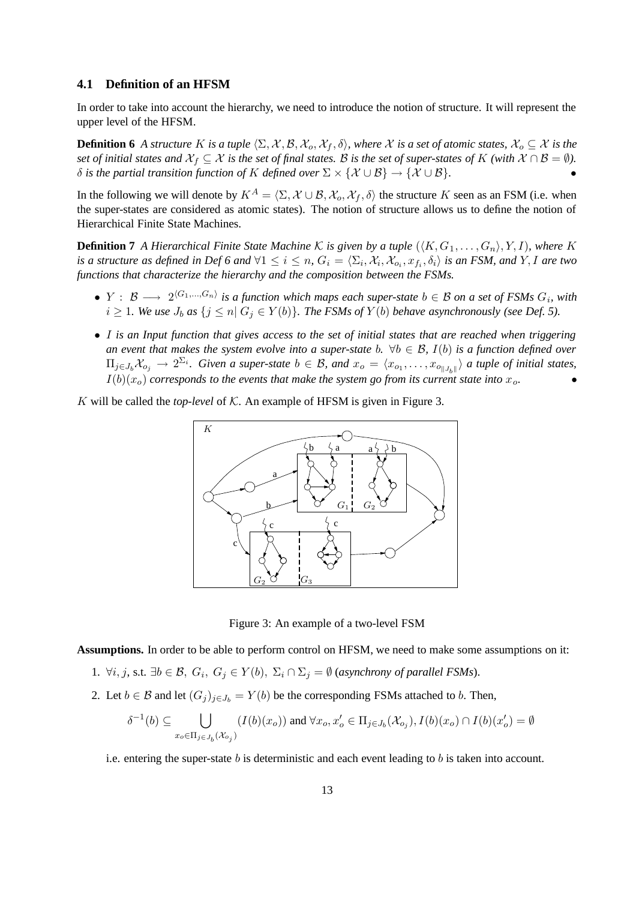#### **4.1 Definition of an HFSM**

In order to take into account the hierarchy, we need to introduce the notion of structure. It will represent the upper level of the HFSM.

**Definition 6** A structure K is a tuple  $\langle \Sigma, \mathcal{X}, \mathcal{B}, \mathcal{X}_0, \mathcal{X}_f, \delta \rangle$ , where X is a set of atomic states,  $\mathcal{X}_o \subseteq \mathcal{X}$  is the set of initial states and  $\mathcal{X}_f \subseteq \mathcal{X}$  is the set of final states. B is the set of super-states of K (with  $\mathcal{X} \cap \mathcal{B} = \emptyset$ ). *δ* is the partial transition function of *K* defined over  $\Sigma \times \{X \cup B\}$  →  $\{X \cup B\}$ .

In the following we will denote by  $K^A = \langle \Sigma, \mathcal{X} \cup \mathcal{B}, \mathcal{X}_o, \mathcal{X}_f, \delta \rangle$  the structure K seen as an FSM (i.e. when the super-states are considered as atomic states). The notion of structure allows us to define the notion of Hierarchical Finite State Machines.

**Definition 7** A Hierarchical Finite State Machine K is given by a tuple  $(\langle K, G_1, \ldots, G_n \rangle, Y, I)$ , where K *is* a structure as defined in Def 6 and  $\forall 1 \le i \le n$ ,  $G_i = \langle \Sigma_i, \mathcal{X}_i, \mathcal{X}_{o_i}, x_{f_i}, \delta_i \rangle$  is an FSM, and Y, I are two *functions that characterize the hierarchy and the composition between the FSMs.*

- **•**  $Y$  :  $B$  →  $2^{\langle G_1,...,G_n\rangle}$  is a function which maps each super-state  $b \in B$  on a set of FSMs  $G_i$ , with  $i \geq 1$ *. We use*  $J_b$  *as*  $\{j \leq n | G_j \in Y(b)\}$ *. The FSMs of*  $Y(b)$  *behave asynchronously (see Def.* 5).
- I is an Input function that gives access to the set of initial states that are reached when triggering *an* event that makes the system evolve into a super-state b.  $\forall b \in \mathcal{B}$ ,  $I(b)$  is a function defined over  $\Pi_{j\in J_b}\mathcal{X}_{o_j}\to 2^{\Sigma_i}$ . Given a super-state  $b\in\mathcal{B}$ , and  $x_o=\langle x_{o_1},\ldots,x_{o_{\|J_b\|}}\rangle$  a tuple of initial states,  $I(b)(x_o)$  *corresponds to the events that make the system go from its current state into*  $x_o$ .

K will be called the *top-level* of K. An example of HFSM is given in Figure 3.



Figure 3: An example of a two-level FSM

**Assumptions.** In order to be able to perform control on HFSM, we need to make some assumptions on it:

- 1.  $\forall i, j$ , s.t. ∃ $b \in \mathcal{B}$ ,  $G_i$ ,  $G_j \in Y(b)$ ,  $\Sigma_i \cap \Sigma_j = ∅$  (*asynchrony of parallel FSMs*).
- 2. Let  $b \in \mathcal{B}$  and let  $(G_i)_{i \in J_b} = Y(b)$  be the corresponding FSMs attached to b. Then,

$$
\delta^{-1}(b) \subseteq \bigcup_{x_o \in \Pi_j \in J_b(\mathcal{X}_{o_j})} (I(b)(x_o)) \text{ and } \forall x_o, x'_o \in \Pi_j \in J_b(\mathcal{X}_{o_j}), I(b)(x_o) \cap I(b)(x'_o) = \emptyset
$$

i.e. entering the super-state b is deterministic and each event leading to b is taken into account.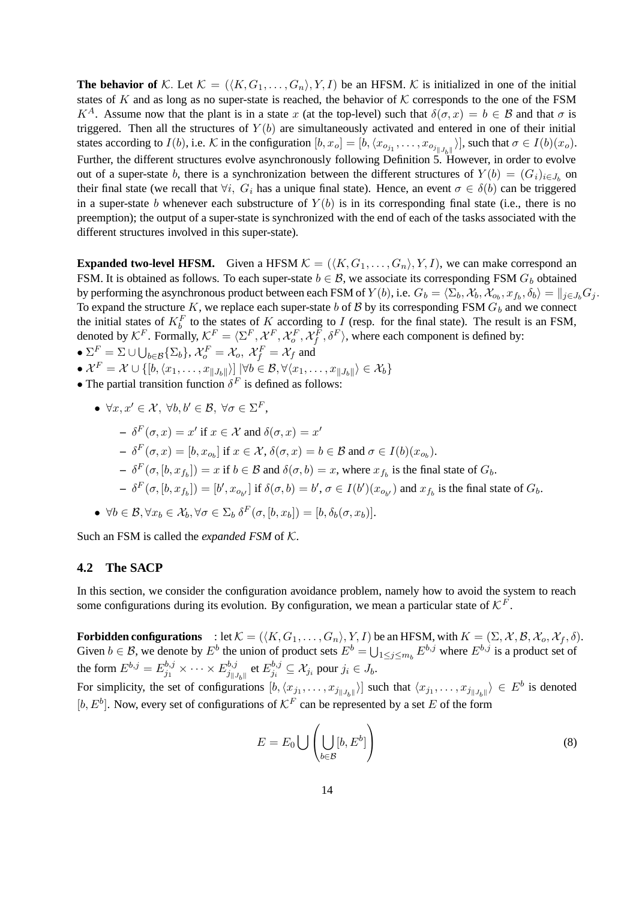**The behavior of** K. Let  $K = (\langle K, G_1, \ldots, G_n \rangle, Y, I)$  be an HFSM. K is initialized in one of the initial states of K and as long as no super-state is reached, the behavior of K corresponds to the one of the FSM  $K^A$ . Assume now that the plant is in a state x (at the top-level) such that  $\delta(\sigma, x) = b \in \mathcal{B}$  and that  $\sigma$  is triggered. Then all the structures of  $Y(b)$  are simultaneously activated and entered in one of their initial states according to  $I(b)$ , i.e. K in the configuration  $[b, x_o] = [b, \langle x_{o_{j_1}}, \dots, x_{o_{j_{\|J_b\|}}}\rangle]$ , such that  $\sigma \in I(b)(x_o)$ . Further, the different structures evolve asynchronously following Definition 5. However, in order to evolve out of a super-state b, there is a synchronization between the different structures of  $Y(b) = (G_i)_{i \in J_b}$  on their final state (we recall that  $\forall i$ ,  $G_i$  has a unique final state). Hence, an event  $\sigma \in \delta(b)$  can be triggered in a super-state b whenever each substructure of  $Y(b)$  is in its corresponding final state (i.e., there is no preemption); the output of a super-state is synchronized with the end of each of the tasks associated with the different structures involved in this super-state).

**Expanded two-level HFSM.** Given a HFSM  $K = (\langle K, G_1, \ldots, G_n \rangle, Y, I)$ , we can make correspond an FSM. It is obtained as follows. To each super-state  $b \in \mathcal{B}$ , we associate its corresponding FSM  $G_b$  obtained by performing the asynchronous product between each FSM of  $Y(b)$ , i.e.  $G_b = \langle \Sigma_b, \mathcal{X}_b, \mathcal{X}_{o_b}, x_{f_b}, \delta_b \rangle = \|_{j \in J_b} G_j.$ To expand the structure K, we replace each super-state b of B by its corresponding FSM  $G_b$  and we connect the initial states of  $K_b^F$  to the states of K according to I (resp. for the final state). The result is an FSM, denoted by  $K^F$ . Formally,  $K^F = \langle \Sigma^F, \mathcal{X}^F, \mathcal{X}_o^F, \mathcal{X}_f^F, \delta^F \rangle$ , where each component is defined by:

•  $\Sigma^F = \Sigma \cup \bigcup_{b \in \mathcal{B}} \{\Sigma_b\}, \mathcal{X}_o^F = \mathcal{X}_o, \ \mathcal{X}_f^F = \mathcal{X}_f$  and

- $\bullet$   $\mathcal{X}^F = \mathcal{X} \cup \{ [b,\langle x_1, \ldots, x_{\|J_b\|}} \rangle ] \; | \forall b \in \mathcal{B}, \forall \langle x_1, \ldots, x_{\|J_b\|}} \rangle \in \mathcal{X}_b \}$
- The partial transition function  $\delta^F$  is defined as follows:

\n- \n
$$
\forall x, x' \in \mathcal{X}, \forall b, b' \in \mathcal{B}, \forall \sigma \in \Sigma^F,
$$
\n
\n- \n $\delta^F(\sigma, x) = x'$  if  $x \in \mathcal{X}$  and  $\delta(\sigma, x) = x'$ \n
\n- \n $\delta^F(\sigma, x) = [b, x_{o_b}]$  if  $x \in \mathcal{X}, \delta(\sigma, x) = b \in \mathcal{B}$  and  $\sigma \in I(b)(x_{o_b})$ .\n
\n- \n $\delta^F(\sigma, [b, x_{f_b}]) = x$  if  $b \in \mathcal{B}$  and  $\delta(\sigma, b) = x$ , where  $x_{f_b}$  is the final state of  $G_b$ .\n
\n- \n $\delta^F(\sigma, [b, x_{f_b}]) = [b', x_{o_b'}]$  if  $\delta(\sigma, b) = b', \sigma \in I(b')(x_{o_b'})$  and  $x_{f_b}$  is the final state of  $G_b$ .\n
\n- \n $\forall b \in \mathcal{B}, \forall x_b \in \mathcal{X}_b, \forall \sigma \in \Sigma_b \delta^F(\sigma, [b, x_b]) = [b, \delta_b(\sigma, x_b)].$ \n
\n

Such an FSM is called the *expanded FSM* of K.

#### **4.2 The SACP**

In this section, we consider the configuration avoidance problem, namely how to avoid the system to reach some configurations during its evolution. By configuration, we mean a particular state of  $\mathcal{K}^F$ .

**Forbidden configurations** : let  $\mathcal{K} = (\langle K, G_1, \ldots, G_n \rangle, Y, I)$  be an HFSM, with  $K = (\Sigma, \mathcal{X}, \mathcal{B}, \mathcal{X}_o, \mathcal{X}_f, \delta)$ . Given  $b \in \mathcal{B}$ , we denote by  $E^b$  the union of product sets  $E^b = \bigcup_{1 \le j \le m_b} E^{b,j}$  where  $E^{b,j}$  is a product set of the form  $E^{b,j}=E^{b,j}_{j_1}\times\cdots\times E^{b,j}_{j_{\parallel,j}}$  $\frac{b,j}{j_{\parallel}J_{b}\parallel}$  et  $E_{j_i}^{b,j}$  $j_i^{0,j} \subseteq \mathcal{X}_{j_i}$  pour  $j_i \in J_b$ .

For simplicity, the set of configurations  $[b, \langle x_{j_1}, \ldots, x_{j_{\|J_b\|}}\rangle]$  such that  $\langle x_{j_1}, \ldots, x_{j_{\|J_b\|}}\rangle \in E^b$  is denoted  $[b, E^b]$ . Now, every set of configurations of  $\mathcal{K}^F$  can be represented by a set E of the form

$$
E = E_0 \bigcup \left( \bigcup_{b \in \mathcal{B}} [b, E^b] \right) \tag{8}
$$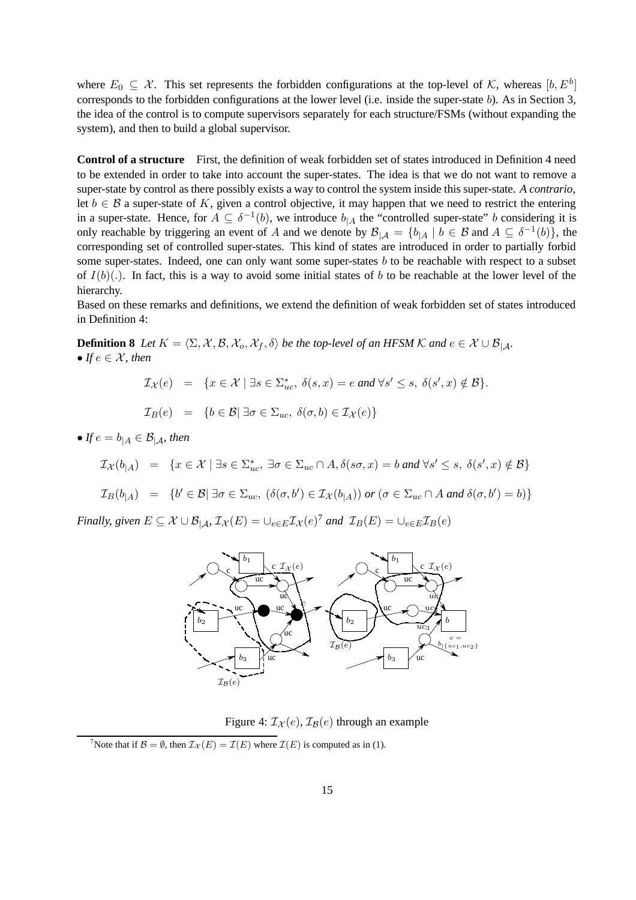where  $E_0 \subseteq \mathcal{X}$ . This set represents the forbidden configurations at the top-level of K, whereas  $[b, E^b]$ corresponds to the forbidden configurations at the lower level (i.e. inside the super-state b). As in Section 3, the idea of the control is to compute supervisors separately for each structure/FSMs (without expanding the system), and then to build a global supervisor.

**Control of a structure** First, the definition of weak forbidden set of states introduced in Definition 4 need to be extended in order to take into account the super-states. The idea is that we do not want to remove a super-state by control as there possibly exists a way to control the system inside this super-state. *A contrario*, let  $b \in \mathcal{B}$  a super-state of K, given a control objective, it may happen that we need to restrict the entering in a super-state. Hence, for  $A \subseteq \delta^{-1}(b)$ , we introduce  $b_{|A}$  the "controlled super-state" b considering it is only reachable by triggering an event of A and we denote by  $\mathcal{B}_{|\mathcal{A}} = \{b_{|\mathcal{A}} | b \in \mathcal{B} \text{ and } A \subseteq \delta^{-1}(b)\}\$ , the corresponding set of controlled super-states. This kind of states are introduced in order to partially forbid some super-states. Indeed, one can only want some super-states b to be reachable with respect to a subset of  $I(b)(.)$ . In fact, this is a way to avoid some initial states of b to be reachable at the lower level of the hierarchy.

Based on these remarks and definitions, we extend the definition of weak forbidden set of states introduced in Definition 4:

**Definition 8** *Let*  $K = \langle \Sigma, \mathcal{X}, \mathcal{B}, \mathcal{X}_o, \mathcal{X}_f, \delta \rangle$  *be the top-level of an HFSM*  $\mathcal{K}$  *and*  $e \in \mathcal{X} \cup \mathcal{B}_{|\mathcal{A}|}$ *.* • *If*  $e \in \mathcal{X}$ *, then* 

 $\mathcal{I}_{\mathcal{X}}(e) = \{x \in \mathcal{X} \mid \exists s \in \Sigma_{uc}^*, \ \delta(s, x) = e \text{ and } \forall s' \leq s, \ \delta(s', x) \notin \mathcal{B}\}.$ 

$$
\mathcal{I}_B(e) = \{b \in \mathcal{B} \mid \exists \sigma \in \Sigma_{uc}, \ \delta(\sigma, b) \in \mathcal{I}_\mathcal{X}(e)\}
$$

• *If*  $e = b_{\vert A} \in \mathcal{B}_{\vert A}$ *, then* 

$$
\mathcal{I}_{\mathcal{X}}(b_{|A}) = \{ x \in \mathcal{X} \mid \exists s \in \Sigma_{uc}^*, \exists \sigma \in \Sigma_{uc} \cap A, \delta(s\sigma, x) = b \text{ and } \forall s' \le s, \ \delta(s', x) \notin B \}
$$

 $\mathcal{I}_B(b_{|A}) = \{b' \in \mathcal{B} | \exists \sigma \in \Sigma_{uc}, (\delta(\sigma, b') \in \mathcal{I}_{\mathcal{X}}(b_{|A})) \text{ or } (\sigma \in \Sigma_{uc} \cap A \text{ and } \delta(\sigma, b') = b)\}\$ 

*Finally, given*  $E \subseteq \mathcal{X} \cup \mathcal{B}_{|\mathcal{A}}$ ,  $\mathcal{I}_{\mathcal{X}}(E) = \cup_{e \in E} \mathcal{I}_{\mathcal{X}}(e)^{\gamma}$  *and*  $\mathcal{I}_{B}(E) = \cup_{e \in E} \mathcal{I}_{B}(e)$ 



Figure 4:  $\mathcal{I}_{\mathcal{X}}(e), \mathcal{I}_{\mathcal{B}}(e)$  through an example

<sup>7</sup>Note that if  $\mathcal{B} = \emptyset$ , then  $\mathcal{I}_{\mathcal{X}}(E) = \mathcal{I}(E)$  where  $\mathcal{I}(E)$  is computed as in (1).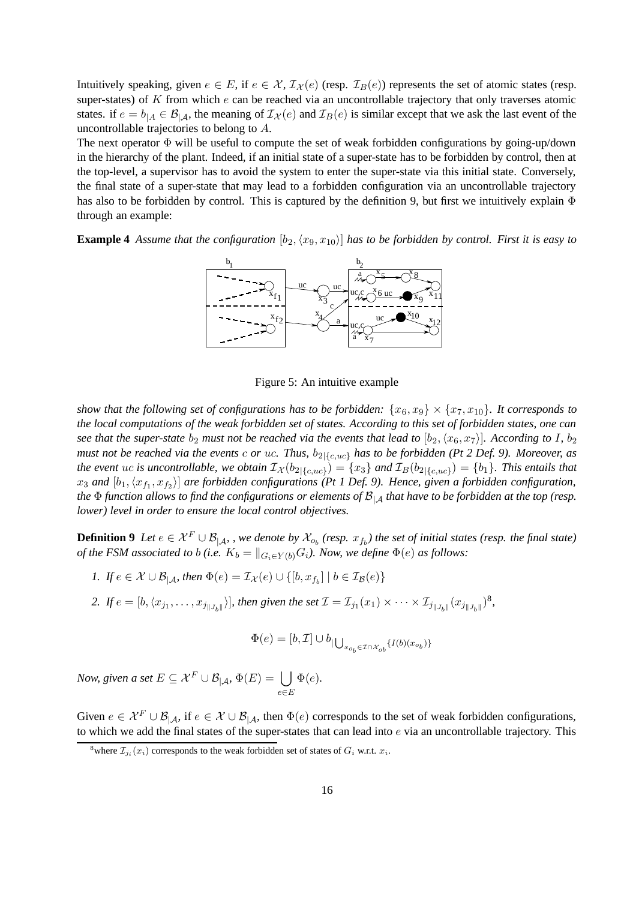Intuitively speaking, given  $e \in E$ , if  $e \in \mathcal{X}, \mathcal{I}_{\mathcal{X}}(e)$  (resp.  $\mathcal{I}_{B}(e)$ ) represents the set of atomic states (resp. super-states) of  $K$  from which  $e$  can be reached via an uncontrollable trajectory that only traverses atomic states. if  $e = b_{|A} \in \mathcal{B}_{|A}$ , the meaning of  $\mathcal{I}_{\mathcal{X}}(e)$  and  $\mathcal{I}_{B}(e)$  is similar except that we ask the last event of the uncontrollable trajectories to belong to A.

The next operator  $\Phi$  will be useful to compute the set of weak forbidden configurations by going-up/down in the hierarchy of the plant. Indeed, if an initial state of a super-state has to be forbidden by control, then at the top-level, a supervisor has to avoid the system to enter the super-state via this initial state. Conversely, the final state of a super-state that may lead to a forbidden configuration via an uncontrollable trajectory has also to be forbidden by control. This is captured by the definition 9, but first we intuitively explain Φ through an example:

**Example 4** Assume that the configuration  $[b_2, (x_9, x_{10})]$  has to be forbidden by control. First it is easy to



Figure 5: An intuitive example

*show that the following set of configurations has to be forbidden:*  $\{x_6, x_9\} \times \{x_7, x_{10}\}$ *. It corresponds to* the local computations of the weak forbidden set of states. According to this set of forbidden states, one can see that the super-state  $b_2$  must not be reached via the events that lead to  $[b_2, (x_6, x_7)]$ . According to I,  $b_2$ must not be reached via the events c or uc. Thus,  $b_{2|\{c,uc\}}$  has to be forbidden (Pt 2 Def. 9). Moreover, as *the event uc is uncontrollable, we obtain*  $\mathcal{I}_{\mathcal{X}}(b_{2|\{c,uc\}}) = \{x_3\}$  and  $\mathcal{I}_B(b_{2|\{c,uc\}}) = \{b_1\}$ . This entails that  $x_3$  and  $[b_1, (x_{f_1}, x_{f_2})]$  are forbidden configurations (Pt 1 Def. 9). Hence, given a forbidden configuration, the  $\Phi$  function allows to find the configurations or elements of  $\mathcal{B}_{\vert A}$  that have to be forbidden at the top (resp. *lower) level in order to ensure the local control objectives.*

**Definition 9** Let  $e \in \mathcal{X}^F \cup \mathcal{B}_{|\mathcal{A}}$ , , we denote by  $\mathcal{X}_{o_b}$  (resp.  $x_{f_b}$ ) the set of initial states (resp. the final state) *of the FSM associated to b (i.e.*  $K_b = ||_{G_i \in Y(b)} G_i$ *). Now, we define*  $\Phi(e)$  *as follows:* 

- *1. If*  $e \in \mathcal{X} \cup \mathcal{B}_{|\mathcal{A}}$ *, then*  $\Phi(e) = \mathcal{I}_{\mathcal{X}}(e) \cup \{[b, x_{f_b}] \mid b \in \mathcal{I}_{\mathcal{B}}(e)\}$
- 2. If  $e = [b, \langle x_{j_1}, \ldots, x_{j_{\|J_b\|}} \rangle]$ , then given the set  $\mathcal{I} = \mathcal{I}_{j_1}(x_1) \times \cdots \times \mathcal{I}_{j_{\|J_b\|}}(x_{j_{\|J_b\|}})^8$ ,

$$
\Phi(e) = [b, \mathcal{I}] \cup b_{|\bigcup_{x_{o_b} \in \mathcal{I} \cap \mathcal{X}_{ob}} \{I(b)(x_{o_b})\}}
$$

*Now, given a set*  $E \subseteq \mathcal{X}^F \cup \mathcal{B}_{|\mathcal{A}}, \, \Phi(E) = \bigcup$ e∈E  $\Phi(e)$ .

Given  $e \in \mathcal{X}^F \cup \mathcal{B}_{|\mathcal{A}}$ , if  $e \in \mathcal{X} \cup \mathcal{B}_{|\mathcal{A}}$ , then  $\Phi(e)$  corresponds to the set of weak forbidden configurations, to which we add the final states of the super-states that can lead into  $e$  via an uncontrollable trajectory. This

<sup>&</sup>lt;sup>8</sup>where  $\mathcal{I}_{j_i}(x_i)$  corresponds to the weak forbidden set of states of  $G_i$  w.r.t.  $x_i$ .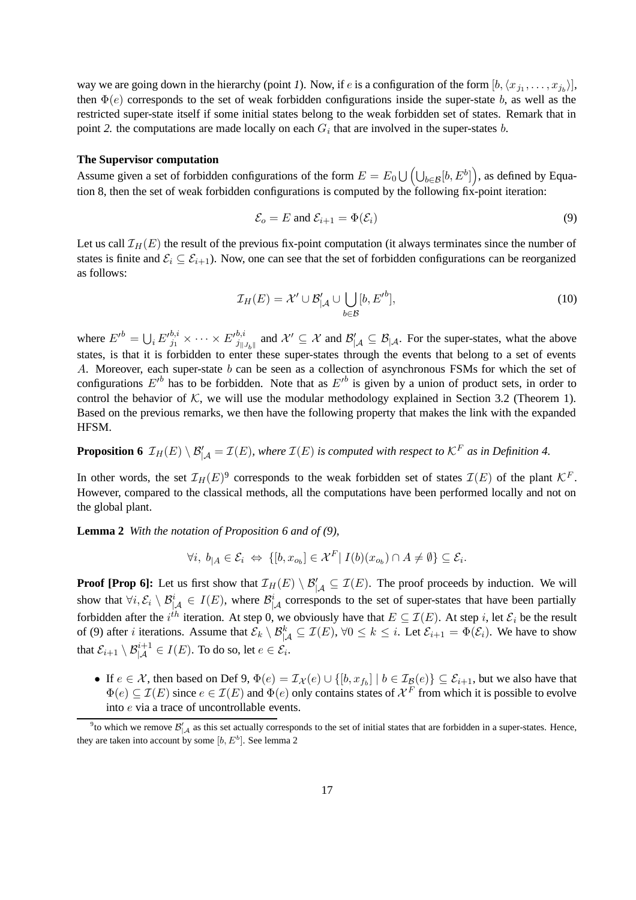way we are going down in the hierarchy (point *1*). Now, if *e* is a configuration of the form  $[b, \langle x_{j_1}, \ldots, x_{j_b} \rangle]$ , then  $\Phi(e)$  corresponds to the set of weak forbidden configurations inside the super-state b, as well as the restricted super-state itself if some initial states belong to the weak forbidden set of states. Remark that in point 2. the computations are made locally on each  $G_i$  that are involved in the super-states  $b$ .

#### **The Supervisor computation**

Assume given a set of forbidden configurations of the form  $E = E_0 \cup \left(\bigcup_{b \in \mathcal{B}} [b, E^b]\right)$ , as defined by Equation 8, then the set of weak forbidden configurations is computed by the following fix-point iteration:

$$
\mathcal{E}_o = E \text{ and } \mathcal{E}_{i+1} = \Phi(\mathcal{E}_i) \tag{9}
$$

Let us call  $\mathcal{I}_H(E)$  the result of the previous fix-point computation (it always terminates since the number of states is finite and  $\mathcal{E}_i \subseteq \mathcal{E}_{i+1}$ ). Now, one can see that the set of forbidden configurations can be reorganized as follows:

$$
\mathcal{I}_H(E) = \mathcal{X}' \cup \mathcal{B}'_{|\mathcal{A}} \cup \bigcup_{b \in \mathcal{B}} [b, E'^b],\tag{10}
$$

where  $E'^{b} = \bigcup_{i} E'^{b,i}_{j} \times \cdots \times E'^{b,i}_{j}$  and  $\mathcal{X}' \subseteq \mathcal{X}$  and  $\mathcal{B}'_{|\mathcal{A}} \subseteq \mathcal{B}_{|\mathcal{A}|}$ . For the super-states, what the above states, is that it is forbidden to enter these super-states through the events that belong to a set of events A. Moreover, each super-state b can be seen as a collection of asynchronous FSMs for which the set of configurations  $E'^b$  has to be forbidden. Note that as  $E'^b$  is given by a union of product sets, in order to control the behavior of  $K$ , we will use the modular methodology explained in Section 3.2 (Theorem 1). Based on the previous remarks, we then have the following property that makes the link with the expanded HFSM.

**Proposition 6**  $\mathcal{I}_H(E) \setminus \mathcal{B}'_{|\mathcal{A}} = \mathcal{I}(E)$ , where  $\mathcal{I}(E)$  is computed with respect to  $\mathcal{K}^F$  as in Definition 4.

In other words, the set  $\mathcal{I}_H(E)^9$  corresponds to the weak forbidden set of states  $\mathcal{I}(E)$  of the plant  $\mathcal{K}^F$ . However, compared to the classical methods, all the computations have been performed locally and not on the global plant.

**Lemma 2** *With the notation of Proposition 6 and of (9),*

$$
\forall i, b_{|A} \in \mathcal{E}_i \Leftrightarrow \{ [b, x_{o_b}] \in \mathcal{X}^F | I(b)(x_{o_b}) \cap A \neq \emptyset \} \subseteq \mathcal{E}_i.
$$

**Proof [Prop 6]:** Let us first show that  $\mathcal{I}_H(E) \setminus \mathcal{B}'_{|\mathcal{A}} \subseteq \mathcal{I}(E)$ . The proof proceeds by induction. We will show that  $\forall i, \mathcal{E}_i \setminus \mathcal{B}_{|\mathcal{A}|}^i \in I(E)$ , where  $\mathcal{B}_{|\mathcal{A}|}^i$  corresponds to the set of super-states that have been partially forbidden after the  $i^{th}$  iteration. At step 0, we obviously have that  $E \subseteq \mathcal{I}(E)$ . At step i, let  $\mathcal{E}_i$  be the result of (9) after *i* iterations. Assume that  $\mathcal{E}_k \setminus \mathcal{B}^k_{|\mathcal{A}} \subseteq \mathcal{I}(E)$ ,  $\forall 0 \leq k \leq i$ . Let  $\mathcal{E}_{i+1} = \Phi(\mathcal{E}_i)$ . We have to show that  $\mathcal{E}_{i+1}\setminus \mathcal{B}^{i+1}_{|\mathcal{A}}\in I(E).$  To do so, let  $e\in \mathcal{E}_i.$ 

• If  $e \in \mathcal{X}$ , then based on Def 9,  $\Phi(e) = \mathcal{I}_{\mathcal{X}}(e) \cup \{[b, x_{f_b}] \mid b \in \mathcal{I}_{\mathcal{B}}(e)\} \subseteq \mathcal{E}_{i+1}$ , but we also have that  $\Phi(e) \subseteq \mathcal{I}(E)$  since  $e \in \mathcal{I}(E)$  and  $\Phi(e)$  only contains states of  $\mathcal{X}^F$  from which it is possible to evolve into e via a trace of uncontrollable events.

<sup>&</sup>lt;sup>9</sup> to which we remove  $\mathcal{B}'_{|A}$  as this set actually corresponds to the set of initial states that are forbidden in a super-states. Hence, they are taken into account by some  $[b, E^b]$ . See lemma 2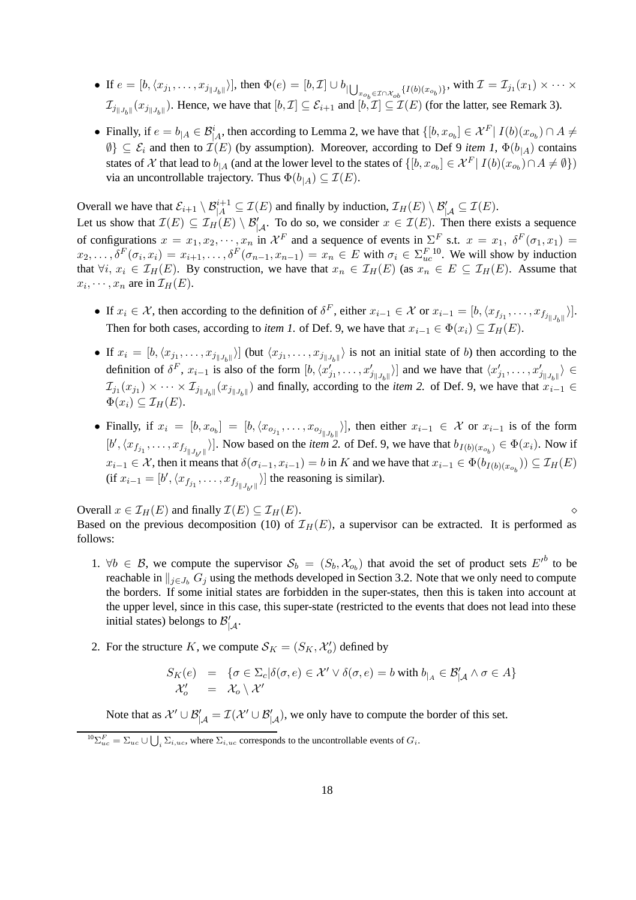- If  $e = [b, \langle x_{j_1}, \ldots, x_{j_{\|J_b\|}} \rangle]$ , then  $\Phi(e) = [b, \mathcal{I}] \cup b_{\| \bigcup_{x_{o_b} \in \mathcal{I} \cap \mathcal{X}_{ob}} \{I(b)(x_{o_b})\}}$ , with  $\mathcal{I} = \mathcal{I}_{j_1}(x_1) \times \cdots \times$  $\mathcal{I}_{j||J_b||}(x_{j||J_b||})$ . Hence, we have that  $[b,\mathcal{I}] \subseteq \mathcal{E}_{i+1}$  and  $[b,\mathcal{I}] \subseteq \mathcal{I}(E)$  (for the latter, see Remark 3).
- Finally, if  $e = b_{|A} \in \mathcal{B}_{|A}^i$ , then according to Lemma 2, we have that  $\{[b, x_{o_b}] \in \mathcal{X}^F | I(b)(x_{o_b}) \cap A \neq b\}$  $\emptyset$ }  $\subseteq$   $\mathcal{E}_i$  and then to  $\mathcal{I}(E)$  (by assumption). Moreover, according to Def 9 *item 1*,  $\Phi(b_{\perp A})$  contains states of X that lead to  $b_{|A}$  (and at the lower level to the states of  $\{[b, x_{o_b}] \in \mathcal{X}^F | I(b)(x_{o_b}) \cap A \neq \emptyset\}$ ) via an uncontrollable trajectory. Thus  $\Phi(b_{|A}) \subseteq \mathcal{I}(E)$ .

Overall we have that  $\mathcal{E}_{i+1} \setminus \mathcal{B}_{|A}^{i+1} \subseteq \mathcal{I}(E)$  and finally by induction,  $\mathcal{I}_H(E) \setminus \mathcal{B}'_{|A} \subseteq \mathcal{I}(E)$ . Let us show that  $\mathcal{I}(E) \subseteq \mathcal{I}_H(E) \setminus \mathcal{B}'_{|\mathcal{A}}$ . To do so, we consider  $x \in \mathcal{I}(E)$ . Then there exists a sequence of configurations  $x = x_1, x_2, \dots, x_n$  in  $\mathcal{X}^F$  and a sequence of events in  $\Sigma^F$  s.t.  $x = x_1, \ \delta^F(\sigma_1, x_1) =$  $x_2, \ldots, \delta^F(\sigma_i, x_i) = x_{i+1}, \ldots, \delta^F(\sigma_{n-1}, x_{n-1}) = x_n \in E$  with  $\sigma_i \in \Sigma_{uc}^{F,10}$ . We will show by induction that  $\forall i, x_i \in \mathcal{I}_H(E)$ . By construction, we have that  $x_n \in \mathcal{I}_H(E)$  (as  $x_n \in E \subseteq \mathcal{I}_H(E)$ . Assume that  $x_i, \dots, x_n$  are in  $\mathcal{I}_H(E)$ .

- If  $x_i \in \mathcal{X}$ , then according to the definition of  $\delta^F$ , either  $x_{i-1} \in \mathcal{X}$  or  $x_{i-1} = [b, \langle x_{f_{j_1}}, \ldots, x_{f_{j_{\vert \vert J_b \vert \vert}}}\rangle].$ Then for both cases, according to *item 1*. of Def. 9, we have that  $x_{i-1} \in \Phi(x_i) \subseteq \mathcal{I}_H(E)$ .
- If  $x_i = [b, \langle x_{j_1}, \ldots, x_{j_{\|J_b\|}} \rangle]$  (but  $\langle x_{j_1}, \ldots, x_{j_{\|J_b\|}} \rangle$  is not an initial state of b) then according to the definition of  $\delta^F$ ,  $x_{i-1}$  is also of the form  $[b, \langle x'_{j_1}, \ldots, x'_{j_{\vert \vert J_b \vert \vert}} \rangle]$  and we have that  $\langle x'_{j_1}, \ldots, x'_{j_{\vert \vert J_b \vert \vert}} \rangle \in$  $\mathcal{I}_{j_1}(x_{j_1}) \times \cdots \times \mathcal{I}_{j_{\|J_b\|}}(x_{j_{\|J_b\|}})$  and finally, according to the *item* 2. of Def. 9, we have that  $x_{i-1} \in$  $\Phi(x_i) \subseteq \mathcal{I}_H(E).$
- Finally, if  $x_i = [b, x_{o_b}] = [b, \langle x_{o_{j_1}}, \ldots, x_{o_{j_{\vert J_b\vert}}}\rangle]$ , then either  $x_{i-1} \in \mathcal{X}$  or  $x_{i-1}$  is of the form  $[b', \langle x_{f_{j_1}}, \ldots, x_{f_{j_{\vert \vert J_{b'} \vert \vert}}}\rangle]$ . Now based on the *item* 2. of Def. 9, we have that  $b_{I(b)(x_{o_b})} \in \Phi(x_i)$ . Now if  $x_{i-1} \in \mathcal{X}$ , then it means that  $\delta(\sigma_{i-1}, x_{i-1}) = b$  in K and we have that  $x_{i-1} \in \Phi(b_{I(b)(x_{o_b})}) \subseteq \mathcal{I}_H(E)$ (if  $x_{i-1} = [b', \langle x_{f_{j_1}}, \ldots, x_{f_{j_{\vert J_{b'} \vert \vert}}}\rangle]$  the reasoning is similar).

Overall  $x \in \mathcal{I}_H(E)$  and finally  $\mathcal{I}(E) \subseteq \mathcal{I}_H(E)$ . Based on the previous decomposition (10) of  $\mathcal{I}_H(E)$ , a supervisor can be extracted. It is performed as follows:

- 1.  $\forall b \in \mathcal{B}$ , we compute the supervisor  $\mathcal{S}_b = (S_b, \mathcal{X}_{o_b})$  that avoid the set of product sets  $E'^b$  to be reachable in  $\|_{i\in J_b} G_i$  using the methods developed in Section 3.2. Note that we only need to compute the borders. If some initial states are forbidden in the super-states, then this is taken into account at the upper level, since in this case, this super-state (restricted to the events that does not lead into these initial states) belongs to  $\mathcal{B}'_{|\mathcal{A}}$ .
- 2. For the structure K, we compute  $S_K = (S_K, \mathcal{X}'_o)$  defined by

$$
\begin{array}{rcl}\nS_K(e) & = & \{ \sigma \in \Sigma_c | \delta(\sigma, e) \in \mathcal{X}' \vee \delta(\sigma, e) = b \text{ with } b_{|_A} \in \mathcal{B}'_{|A} \wedge \sigma \in A \} \\
\mathcal{X}'_o & = & \mathcal{X}_o \setminus \mathcal{X}'\n\end{array}
$$

Note that as  $\mathcal{X}' \cup \mathcal{B}'_{|\mathcal{A}} = \mathcal{I}(\mathcal{X}' \cup \mathcal{B}'_{|\mathcal{A}})$ , we only have to compute the border of this set.

 ${}^{10}\Sigma_{uc}^F = \Sigma_{uc} \cup \bigcup_i \Sigma_{i,uc}$ , where  $\Sigma_{i,uc}$  corresponds to the uncontrollable events of  $G_i$ .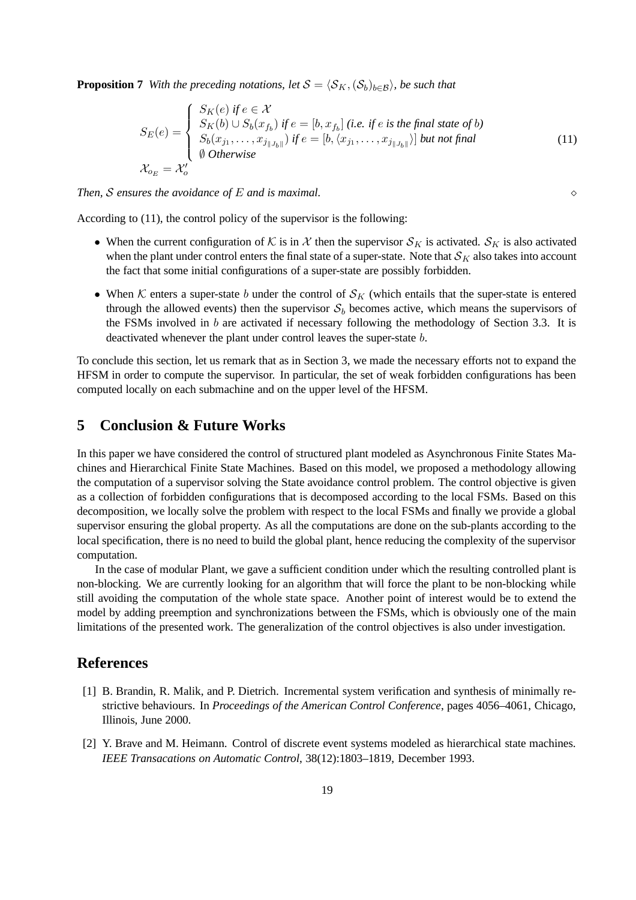**Proposition 7** With the preceding notations, let  $S = \langle S_K, (S_b)_{b \in \mathcal{B}} \rangle$ , be such that

$$
S_E(e) = \begin{cases} S_K(e) \text{ if } e \in \mathcal{X} \\ S_K(b) \cup S_b(x_{f_b}) \text{ if } e = [b, x_{f_b}] \text{ (i.e. if } e \text{ is the final state of } b) \\ S_b(x_{j_1}, \dots, x_{j_{\|J_b\|}}) \text{ if } e = [b, \langle x_{j_1}, \dots, x_{j_{\|J_b\|}} \rangle] \text{ but not final} \\ \emptyset \text{ Otherwise} \end{cases}
$$
(11)  

$$
\mathcal{X}_{o_E} = \mathcal{X}'_o
$$

*Then,* S *ensures the avoidance of* E *and is maximal.*

According to (11), the control policy of the supervisor is the following:

- When the current configuration of K is in X then the supervisor  $S_K$  is activated.  $S_K$  is also activated when the plant under control enters the final state of a super-state. Note that  $\mathcal{S}_K$  also takes into account the fact that some initial configurations of a super-state are possibly forbidden.
- When K enters a super-state b under the control of  $\mathcal{S}_K$  (which entails that the super-state is entered through the allowed events) then the supervisor  $S_b$  becomes active, which means the supervisors of the FSMs involved in  $b$  are activated if necessary following the methodology of Section 3.3. It is deactivated whenever the plant under control leaves the super-state b.

To conclude this section, let us remark that as in Section 3, we made the necessary efforts not to expand the HFSM in order to compute the supervisor. In particular, the set of weak forbidden configurations has been computed locally on each submachine and on the upper level of the HFSM.

### **5 Conclusion & Future Works**

In this paper we have considered the control of structured plant modeled as Asynchronous Finite States Machines and Hierarchical Finite State Machines. Based on this model, we proposed a methodology allowing the computation of a supervisor solving the State avoidance control problem. The control objective is given as a collection of forbidden configurations that is decomposed according to the local FSMs. Based on this decomposition, we locally solve the problem with respect to the local FSMs and finally we provide a global supervisor ensuring the global property. As all the computations are done on the sub-plants according to the local specification, there is no need to build the global plant, hence reducing the complexity of the supervisor computation.

In the case of modular Plant, we gave a sufficient condition under which the resulting controlled plant is non-blocking. We are currently looking for an algorithm that will force the plant to be non-blocking while still avoiding the computation of the whole state space. Another point of interest would be to extend the model by adding preemption and synchronizations between the FSMs, which is obviously one of the main limitations of the presented work. The generalization of the control objectives is also under investigation.

### **References**

- [1] B. Brandin, R. Malik, and P. Dietrich. Incremental system verification and synthesis of minimally restrictive behaviours. In *Proceedings of the American Control Conference*, pages 4056–4061, Chicago, Illinois, June 2000.
- [2] Y. Brave and M. Heimann. Control of discrete event systems modeled as hierarchical state machines. *IEEE Transacations on Automatic Control*, 38(12):1803–1819, December 1993.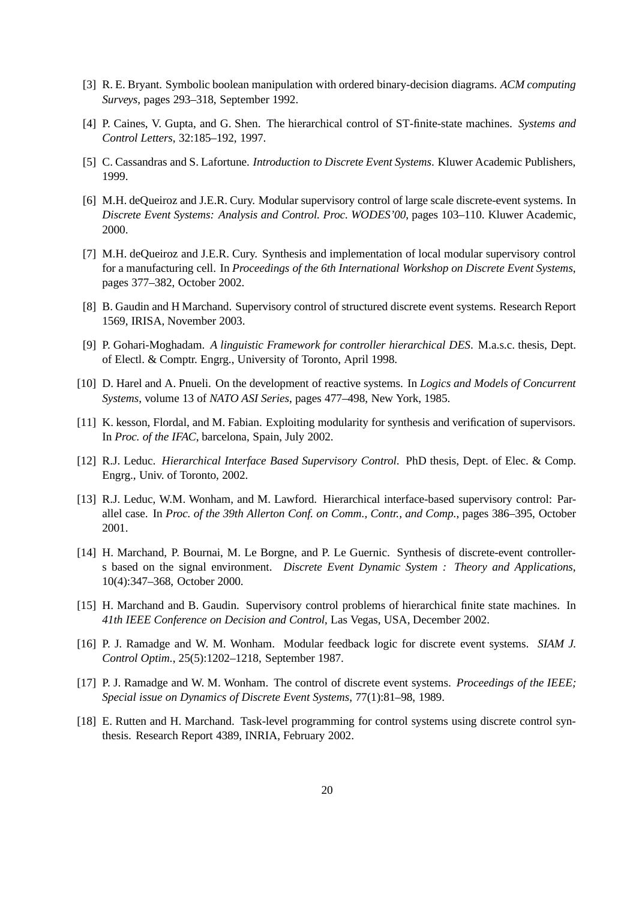- [3] R. E. Bryant. Symbolic boolean manipulation with ordered binary-decision diagrams. *ACM computing Surveys*, pages 293–318, September 1992.
- [4] P. Caines, V. Gupta, and G. Shen. The hierarchical control of ST-finite-state machines. *Systems and Control Letters*, 32:185–192, 1997.
- [5] C. Cassandras and S. Lafortune. *Introduction to Discrete Event Systems*. Kluwer Academic Publishers, 1999.
- [6] M.H. deQueiroz and J.E.R. Cury. Modular supervisory control of large scale discrete-event systems. In *Discrete Event Systems: Analysis and Control. Proc. WODES'00*, pages 103–110. Kluwer Academic, 2000.
- [7] M.H. deQueiroz and J.E.R. Cury. Synthesis and implementation of local modular supervisory control for a manufacturing cell. In *Proceedings of the 6th International Workshop on Discrete Event Systems*, pages 377–382, October 2002.
- [8] B. Gaudin and H Marchand. Supervisory control of structured discrete event systems. Research Report 1569, IRISA, November 2003.
- [9] P. Gohari-Moghadam. *A linguistic Framework for controller hierarchical DES*. M.a.s.c. thesis, Dept. of Electl. & Comptr. Engrg., University of Toronto, April 1998.
- [10] D. Harel and A. Pnueli. On the development of reactive systems. In *Logics and Models of Concurrent Systems*, volume 13 of *NATO ASI Series*, pages 477–498, New York, 1985.
- [11] K. kesson, Flordal, and M. Fabian. Exploiting modularity for synthesis and verification of supervisors. In *Proc. of the IFAC*, barcelona, Spain, July 2002.
- [12] R.J. Leduc. *Hierarchical Interface Based Supervisory Control*. PhD thesis, Dept. of Elec. & Comp. Engrg., Univ. of Toronto, 2002.
- [13] R.J. Leduc, W.M. Wonham, and M. Lawford. Hierarchical interface-based supervisory control: Parallel case. In *Proc. of the 39th Allerton Conf. on Comm., Contr., and Comp.*, pages 386–395, October 2001.
- [14] H. Marchand, P. Bournai, M. Le Borgne, and P. Le Guernic. Synthesis of discrete-event controllers based on the signal environment. *Discrete Event Dynamic System : Theory and Applications*, 10(4):347–368, October 2000.
- [15] H. Marchand and B. Gaudin. Supervisory control problems of hierarchical finite state machines. In *41th IEEE Conference on Decision and Control*, Las Vegas, USA, December 2002.
- [16] P. J. Ramadge and W. M. Wonham. Modular feedback logic for discrete event systems. *SIAM J. Control Optim.*, 25(5):1202–1218, September 1987.
- [17] P. J. Ramadge and W. M. Wonham. The control of discrete event systems. *Proceedings of the IEEE; Special issue on Dynamics of Discrete Event Systems*, 77(1):81–98, 1989.
- [18] E. Rutten and H. Marchand. Task-level programming for control systems using discrete control synthesis. Research Report 4389, INRIA, February 2002.